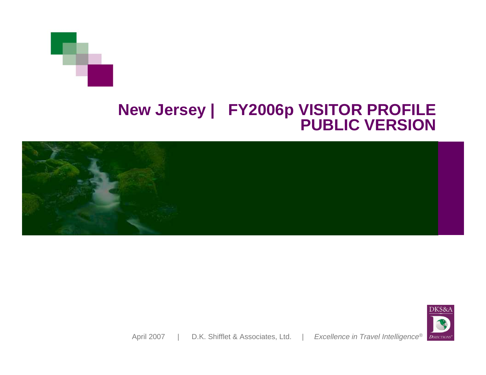## **New Jersey | FY2006p VISITOR PROFILE PUBLIC VERSION**



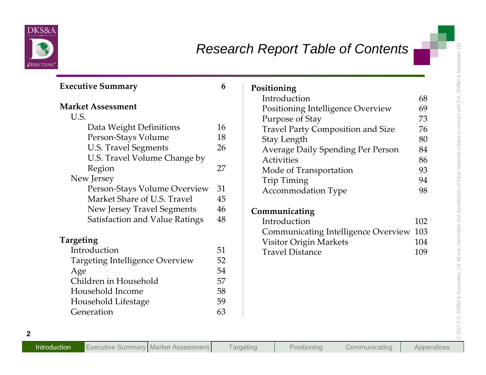

| <b>Executive Summary</b>              | 6  | Positioning                                |     |
|---------------------------------------|----|--------------------------------------------|-----|
|                                       |    | Introduction                               | 68  |
| <b>Market Assessment</b>              |    | Positioning Intelligence Overview          | 69  |
| U.S.                                  |    | Purpose of Stay                            | 73  |
| Data Weight Definitions               | 16 | Travel Party Composition and Size          | 76  |
| Person-Stays Volume                   | 18 | <b>Stay Length</b>                         | 80  |
| <b>U.S. Travel Segments</b>           | 26 | Average Daily Spending Per Person          | 84  |
| U.S. Travel Volume Change by          |    | <b>Activities</b>                          | 86  |
| Region                                | 27 | Mode of Transportation                     | 93  |
| New Jersey                            |    | Trip Timing                                | 94  |
| Person-Stays Volume Overview          | 31 | <b>Accommodation Type</b>                  | 98  |
| Market Share of U.S. Travel           | 45 |                                            |     |
| New Jersey Travel Segments            | 46 | Communicating                              |     |
| <b>Satisfaction and Value Ratings</b> | 48 | Introduction                               | 102 |
|                                       |    | <b>Communicating Intelligence Overview</b> | 103 |
| <b>Targeting</b>                      |    | <b>Visitor Origin Markets</b>              | 104 |
| Introduction                          | 51 | <b>Travel Distance</b>                     | 109 |
| Targeting Intelligence Overview       | 52 |                                            |     |
| Age                                   | 54 |                                            |     |
| Children in Household                 | 57 |                                            |     |
| Household Income                      | 58 |                                            |     |
| Household Lifestage                   | 59 |                                            |     |
| Generation                            | 63 |                                            |     |

| Positioning                                |     |
|--------------------------------------------|-----|
| Introduction                               | 68  |
| Positioning Intelligence Overview          | 69  |
| Purpose of Stay                            | 73  |
| <b>Travel Party Composition and Size</b>   | 76  |
| <b>Stay Length</b>                         | 80  |
| <b>Average Daily Spending Per Person</b>   | 84  |
| <b>Activities</b>                          | 86  |
| Mode of Transportation                     | 93  |
| Trip Timing                                | 94  |
| <b>Accommodation Type</b>                  | 98  |
| Communicating                              |     |
| Introduction                               | 102 |
| <b>Communicating Intelligence Overview</b> | 103 |
| <b>Visitor Origin Markets</b>              | 104 |
| <b>Travel Distance</b>                     | 109 |
|                                            |     |
|                                            |     |
|                                            |     |
|                                            |     |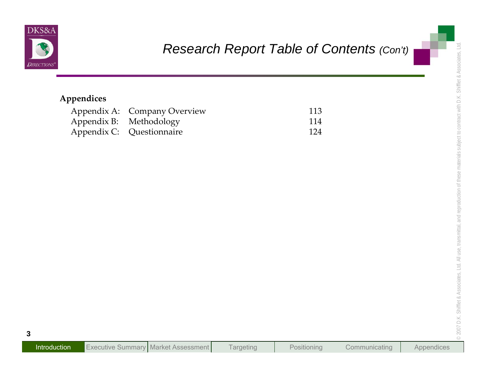

|             |                         | Research Report Table of Contents (Con't) |  |
|-------------|-------------------------|-------------------------------------------|--|
| Appendices  |                         |                                           |  |
| Appendix A: | <b>Company Overview</b> | 113                                       |  |
| Appendix B: | Methodology             | 114                                       |  |
| Appendix C: | Questionnaire           | 124                                       |  |
|             |                         |                                           |  |
|             |                         |                                           |  |
|             |                         |                                           |  |
|             |                         |                                           |  |
|             |                         |                                           |  |
|             |                         |                                           |  |
|             |                         |                                           |  |
|             |                         |                                           |  |
|             |                         |                                           |  |
|             |                         |                                           |  |
|             |                         |                                           |  |
|             |                         |                                           |  |
|             |                         |                                           |  |
|             |                         |                                           |  |
|             |                         |                                           |  |
|             |                         |                                           |  |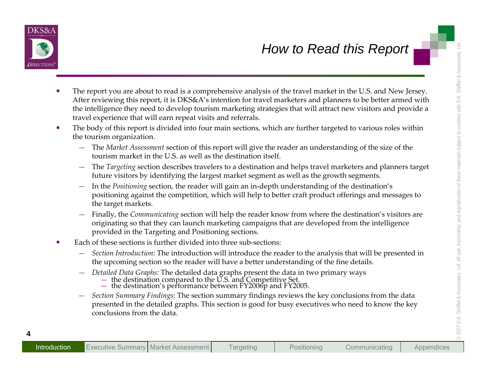

- **EXERCISE THE SECTION CONSERVANCE CONSERVANCE CONSERVANCE CONSERVANCE CONSERVANCE CONSERVANCE CONSERVANCE CONSERVANCE CONSERVANCE CONSERVANCE CONSERVANCE CONSERVAT CONSERVAT THE CONSERVATION OF THE DAMAN CONSERVATION OF T** 
	- -
		-
		-
		-
	- -
		- - -
		-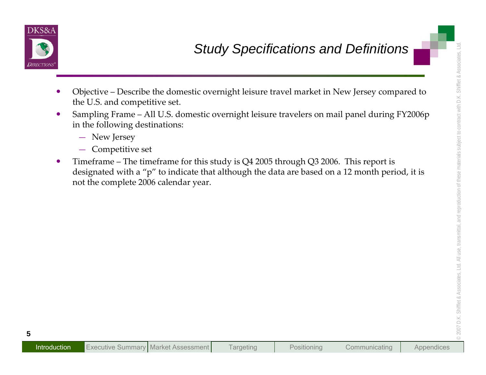

- 
- -
	-
- **Study Specifications and Definitions**<br> **••** Objective Describe the domestic overnight leisure travel market in New Jersey compared to<br> **••** U.S. and competitive set.<br> **••** Sampling Frame All U.S. domestic overnight le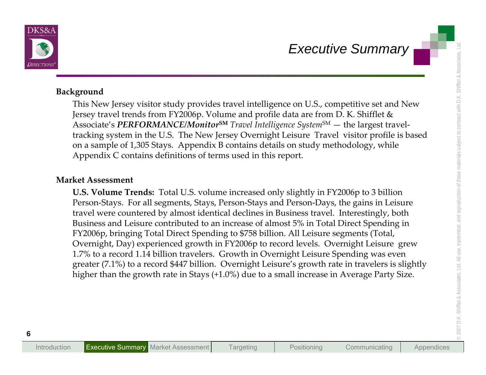

**Executive Summary**<br> **Executive Summary**<br>
This New Jersey visitor study provides travel intelligence on U.S., competitive set and New<br>
Jersey travel trends from FY2006p. Volume and profile data are from D.K. Shiftlet &<br>
A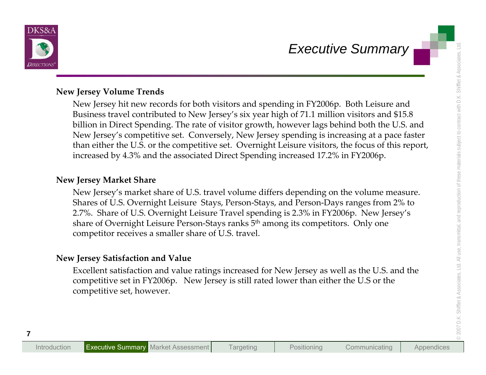

Executive Summary<br>
New Jersey Volume Trends<br>
New Jersey Welume Trends<br>
New Jersey Welume Trends<br>
New Jersey in the contributed to New Jersey's six year high of 71.1 million visitors and 515.8<br>
Billion in Direct Spending.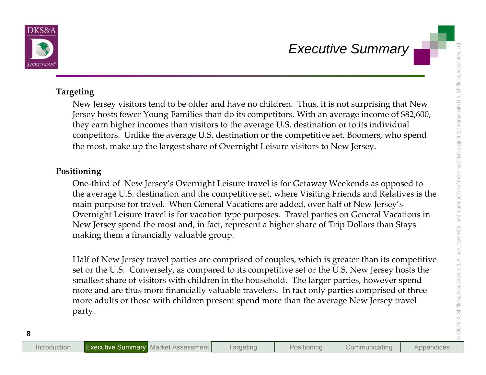

Executive Summary<br>
Targeting<br>
New Jersey wistors tend to be older and have no children. Thus, it is not surprising that New<br>
Jersey hosts fewer Young Families than do its competitors. With an average income of \$82.600,<br>
th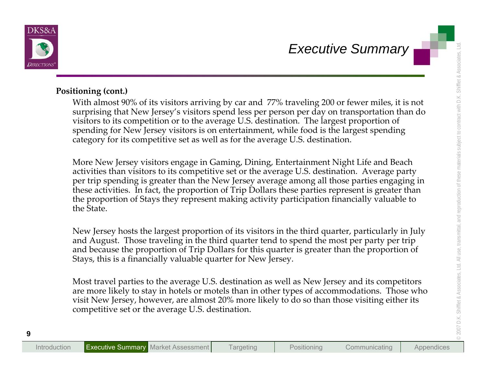

**Executive Summary**<br> **Executive Summary**<br> **Executive Summary**<br> **Positioning (cont.)**<br>
Which almost 90% of its visitors arriving by car and 77% traveling 200 or fewer miles, it is not<br>
surprising that New Jersey's visitors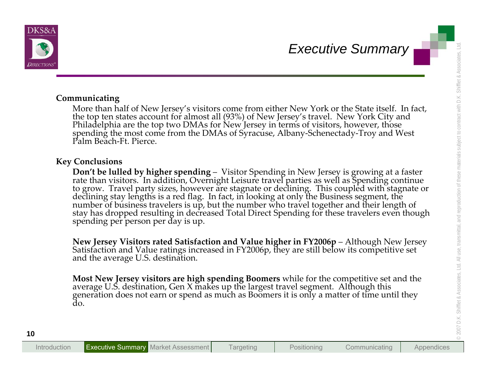

Executive Summary<br>
Communicating<br>
More than half of New Jersey's visitors come from either New York or the State itself. In fact,<br>
this does than half of New Jersey's visitors come from either New York or the State itself.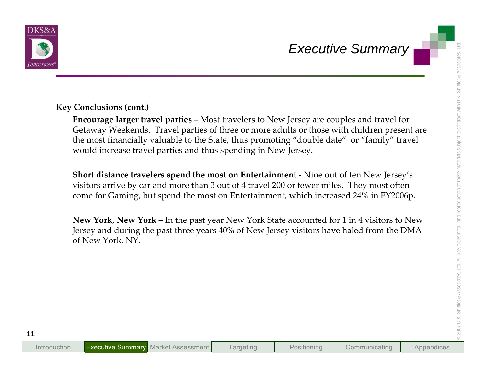

Executive Summary<br>
Executive Summary<br>
Executive Summary<br>
Executive Summary<br>
Executive Summary<br>
Executive Victorials (cont.)<br>
Executive Weckends. Travel parties - Most travelers to New Jersey are couples and travel for<br>
the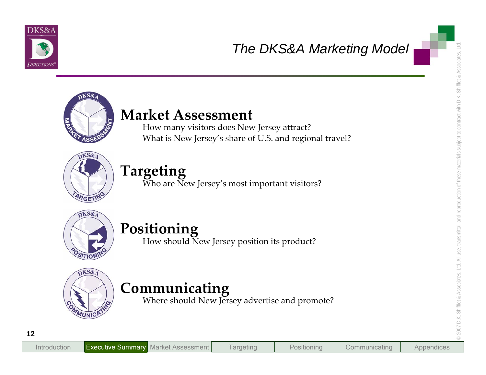



The DKS&A Marketing Model<br>
How many visitors does New Jersey attract?<br>
What is New Jersey's share of U.S. and regional travel?<br>
Targeting<br>
Who are New Jersey's most important visitors?<br>
Positioning<br>
Positioning<br>
Where shou





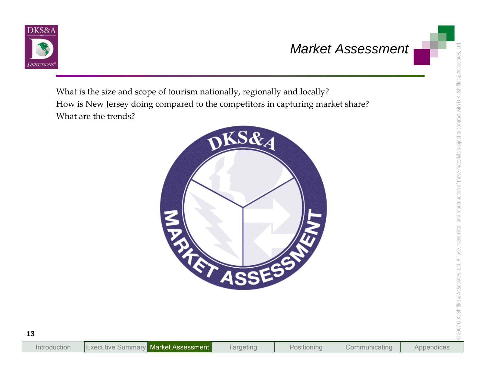

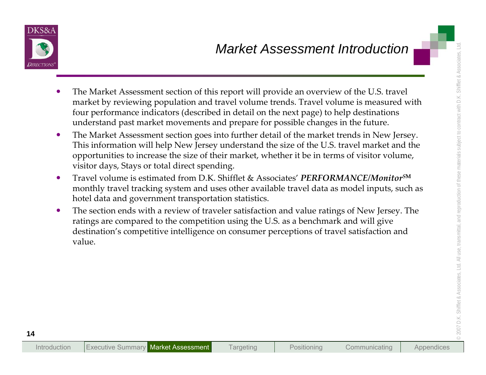

- 
- Market Assessment Introduction<br>
The Market Assessment section of this report will provide an overview of the U.S. travel<br>
market by reviewing population and travel volume tends. Travel volume is measured with<br>
four perform
	-
	-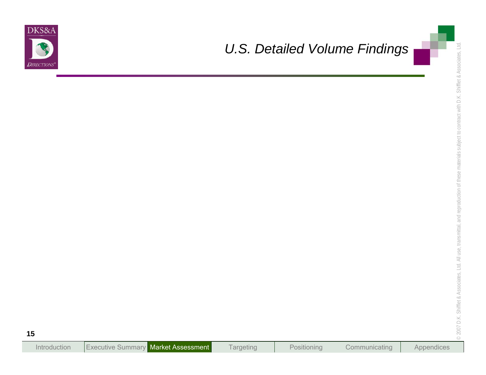

# *U.S. Detailed Volume Findings*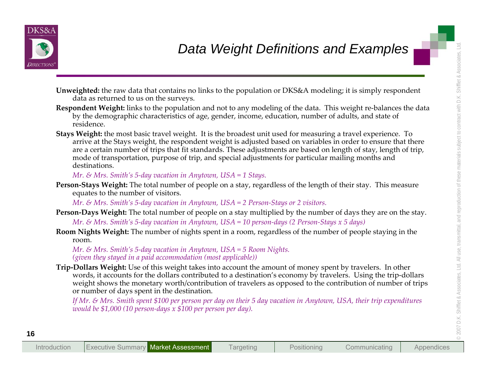

- 
- 
- **Data Weight Definitions and Examples**<br>
Unweighted: the raw data that contains no links to the population or DKS&A modeling: it is simply respondent<br>
dura are returned to us on the areverse.<br>
Reproduced the strained to th

- 
-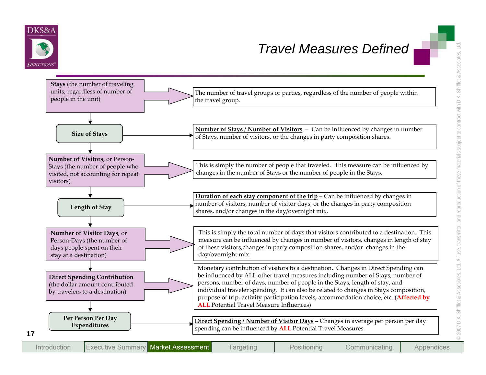

## *Travel Measures Defined*

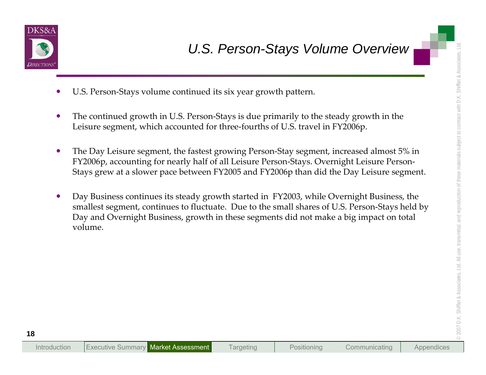

- $\bullet$ U.S. Person‐Stays volume continued its six year growth pattern.
- $\bullet$ ● The continued growth in U.S. Person-Stays is due primarily to the steady growth in the Leisure segment, which accounted for three‐fourths of U.S. travel in FY2006p.
- $\bullet$  The Day Leisure segment, the fastest growing Person‐Stay segment, increased almost 5% in FY2006p, accounting for nearly half of all Leisure Person‐Stays. Overnight Leisure Person‐ Stays grew at <sup>a</sup> slower pace between FY2005 and FY2006p than did the Day Leisure segment.
- <p>Use the <b>20.5.</b> <b>Person-Stays</b> <b>Volume</b> <b>Overview</b></p>\n<p>Use the <b>20.6.</b> <b>Example 20.7.</b> The continued growth in U.S. Person-Stays is due primarily to the steady growth in the <b>20.7.</b> <b>Use</b> <b>Use</b> <b>Use</b> <b>Use</b> <b>Use</b> <b>Use</b> <b>Use</b> <b>Use</b> <b>Use</b> <b>Use</b> <b>Use</b> <b>Use</b> <b>Use</b> <b>Use</b> <b>Use</b> <b>Use</b> <b>Use</b> <b>  $\bullet$  Day Business continues its steady growth started in FY2003, while Overnight Business, the smallest segment, continues to fluctuate. Due to the small shares of U.S. Person-Stays held by Day and Overnight Business, growth in these segments did not make <sup>a</sup> big impact on total volume.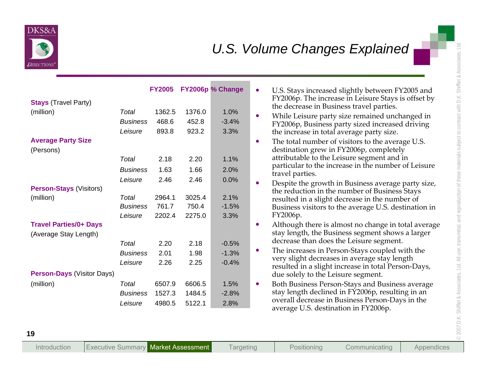

|                                                        |                                     | <b>FY2005</b>             |                           | FY2006p % Change        | $\bullet$ | U.S. Stays increased slightly between FY2005 and<br>FY2006p. The increase in Leisure Stays is offset by                                                             |
|--------------------------------------------------------|-------------------------------------|---------------------------|---------------------------|-------------------------|-----------|---------------------------------------------------------------------------------------------------------------------------------------------------------------------|
| <b>Stays (Travel Party)</b><br>(million)               | <b>Total</b>                        | 1362.5                    | 1376.0                    | 1.0%                    |           | the decrease in Business travel parties.                                                                                                                            |
|                                                        | <b>Business</b>                     | 468.6                     | 452.8                     | $-3.4%$                 | $\bullet$ | While Leisure party size remained unchanged in<br>FY2006p, Business party sized increased driving                                                                   |
|                                                        | Leisure                             | 893.8                     | 923.2                     | 3.3%                    |           | the increase in total average party size.                                                                                                                           |
| <b>Average Party Size</b><br>(Persons)                 |                                     |                           |                           |                         | $\bullet$ | The total number of visitors to the average U.S.<br>destination grew in FY2006p, completely                                                                         |
|                                                        | Total                               | 2.18                      | 2.20                      | 1.1%                    |           | attributable to the Leisure segment and in                                                                                                                          |
|                                                        | <b>Business</b>                     | 1.63                      | 1.66                      | 2.0%                    |           | particular to the increase in the number of Leisure<br>travel parties.                                                                                              |
|                                                        | Leisure                             | 2.46                      | 2.46                      | 0.0%                    | $\bullet$ | Despite the growth in Business average party size,                                                                                                                  |
| <b>Person-Stays (Visitors)</b><br>(million)            | Total<br><b>Business</b><br>Leisure | 2964.1<br>761.7<br>2202.4 | 3025.4<br>750.4<br>2275.0 | 2.1%<br>$-1.5%$<br>3.3% |           | the reduction in the number of Business Stays<br>resulted in a slight decrease in the number of<br>Business visitors to the average U.S. destination in<br>FY2006p. |
| <b>Travel Parties/0+ Days</b><br>(Average Stay Length) |                                     |                           |                           |                         | $\bullet$ | Although there is almost no change in total average<br>stay length, the Business segment shows a larger<br>decrease than does the Leisure segment.                  |
|                                                        | Total                               | 2.20                      | 2.18                      | $-0.5%$                 | $\bullet$ | The increases in Person-Stays coupled with the                                                                                                                      |
| <b>Person-Days (Visitor Days)</b>                      | <b>Business</b><br>Leisure          | 2.01<br>2.26              | 1.98<br>2.25              | $-1.3%$<br>$-0.4%$      |           | very slight decreases in average stay length<br>resulted in a slight increase in total Person-Days,                                                                 |
| (million)                                              | Total                               | 6507.9                    | 6606.5                    | 1.5%                    | $\bullet$ | due solely to the Leisure segment.<br>Both Business Person-Stays and Business average                                                                               |
|                                                        | <b>Business</b>                     | 1527.3                    | 1484.5                    | $-2.8%$                 |           | stay length declined in FY2006p, resulting in an                                                                                                                    |
|                                                        | Leisure                             | 4980.5                    | 5122.1                    | 2.8%                    |           | overall decrease in Business Person-Days in the<br>average U.S. destination in FY2006p.                                                                             |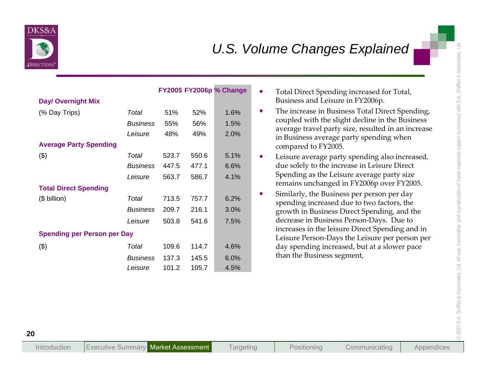

| <b>Day/ Overnight Mix</b>                      |                                     |                         |                         | <b>FY2005 FY2006p % Change</b> | $\bullet$ | Total Direct Spending increased for Total,<br>Business and Leisure in FY2006p.                                                                                                                                                   |
|------------------------------------------------|-------------------------------------|-------------------------|-------------------------|--------------------------------|-----------|----------------------------------------------------------------------------------------------------------------------------------------------------------------------------------------------------------------------------------|
| (% Day Trips)<br><b>Average Party Spending</b> | Total<br><b>Business</b><br>Leisure | 51%<br>55%<br>48%       | 52%<br>56%<br>49%       | 1.6%<br>1.5%<br>2.0%           | $\bullet$ | The increase in Business Total Direct Spending,<br>coupled with the slight decline in the Business<br>average travel party size, resulted in an increase<br>in Business average party spending when<br>compared to FY2005.       |
| $(\$)$                                         | Total<br><b>Business</b><br>Leisure | 523.7<br>447.5<br>563.7 | 550.6<br>477.1<br>586.7 | 5.1%<br>6.6%<br>4.1%           | $\bullet$ | Leisure average party spending also increased,<br>due solely to the increase in Leisure Direct<br>Spending as the Leisure average party size                                                                                     |
| <b>Total Direct Spending</b><br>(\$ billion)   | Total<br><b>Business</b><br>Leisure | 713.5<br>209.7<br>503.8 | 757.7<br>216.1<br>541.6 | 6.2%<br>3.0%<br>7.5%           | $\bullet$ | remains unchanged in FY2006p over FY2005.<br>Similarly, the Business per person per day<br>spending increased due to two factors, the<br>growth in Business Direct Spending, and the<br>decrease in Business Person-Days. Due to |
| <b>Spending per Person per Day</b>             |                                     |                         |                         |                                |           | increases in the leisure Direct Spending and in<br>Leisure Person-Days the Leisure per person per                                                                                                                                |
| $(\$)$                                         | Total<br><b>Business</b><br>Leisure | 109.6<br>137.3<br>101.2 | 114.7<br>145.5<br>105.7 | 4.6%<br>6.0%<br>4.5%           |           | day spending increased, but at a slower pace<br>than the Business segment,                                                                                                                                                       |

- 
- 
- 
-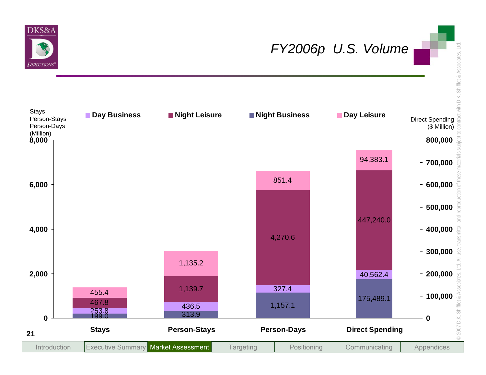

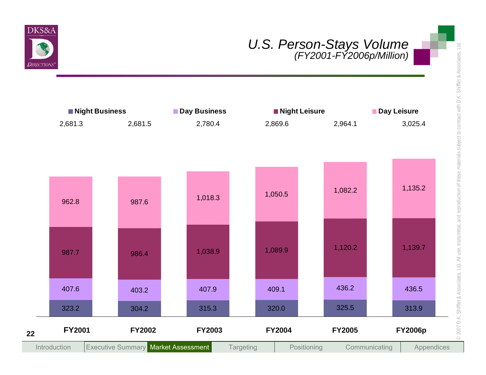

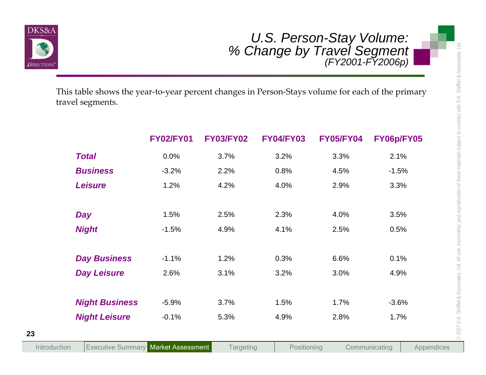

| This table shows the year-to-year percent changes in Person-Stays volume for each of the primary |                  |                  | U.S. Person-Stay Volume:<br>% Change by Travel Segment<br>(FY2001-FY2006p) |                  |                             |
|--------------------------------------------------------------------------------------------------|------------------|------------------|----------------------------------------------------------------------------|------------------|-----------------------------|
| travel segments.                                                                                 | <b>FY02/FY01</b> | <b>FY03/FY02</b> | <b>FY04/FY03</b>                                                           | <b>FY05/FY04</b> | FY06p/FY05                  |
| <b>Total</b>                                                                                     | 0.0%             | 3.7%             | 3.2%                                                                       | 3.3%             | 2.1%                        |
| <b>Business</b>                                                                                  | $-3.2%$          | 2.2%             | 0.8%                                                                       | 4.5%             | $-1.5%$                     |
| <b>Leisure</b>                                                                                   | 1.2%             | 4.2%             | 4.0%                                                                       | 2.9%             | 3.3%                        |
| <b>Day</b>                                                                                       | 1.5%             | 2.5%             | 2.3%                                                                       | 4.0%             | 3.5%                        |
| <b>Night</b>                                                                                     | $-1.5%$          | 4.9%             | 4.1%                                                                       | 2.5%             | 0.5%                        |
| <b>Day Business</b>                                                                              | $-1.1%$          | 1.2%             | 0.3%                                                                       | 6.6%             | 0.1%                        |
| <b>Day Leisure</b>                                                                               | 2.6%             | 3.1%             | 3.2%                                                                       | 3.0%             | 4.9%                        |
| <b>Night Business</b>                                                                            | $-5.9%$          | 3.7%             | 1.5%                                                                       | 1.7%             | $-3.6%$                     |
| <b>Night Leisure</b>                                                                             | $-0.1%$          | 5.3%             | 4.9%                                                                       | 2.8%             | 1.7%                        |
| <b>Executive Summary Market Assessment</b><br>Introduction                                       |                  | <b>Targeting</b> | Positioning                                                                |                  | Communicating<br>Appendices |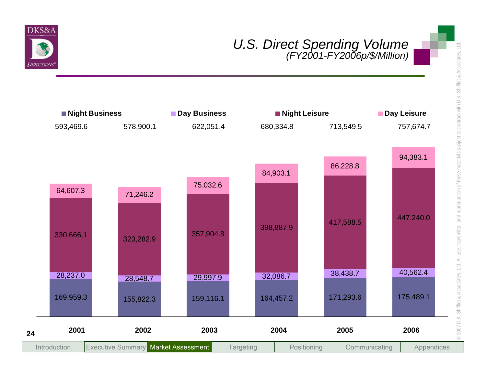

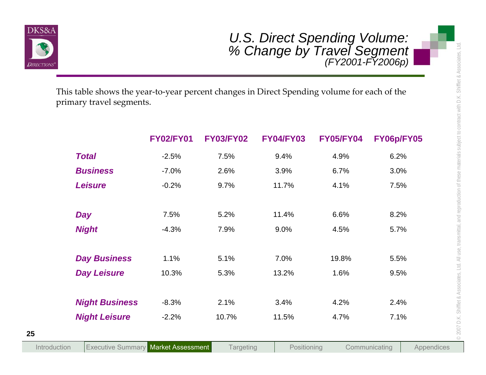

|                                                                                                                         |                  |                  | U.S. Direct Spending Volume:<br>% Change by Travel Segment<br>(FY2001-FY2006p) |                  |                             |
|-------------------------------------------------------------------------------------------------------------------------|------------------|------------------|--------------------------------------------------------------------------------|------------------|-----------------------------|
| This table shows the year-to-year percent changes in Direct Spending volume for each of the<br>primary travel segments. |                  |                  |                                                                                |                  |                             |
|                                                                                                                         | <b>FY02/FY01</b> | <b>FY03/FY02</b> | <b>FY04/FY03</b>                                                               | <b>FY05/FY04</b> | FY06p/FY05                  |
| <b>Total</b>                                                                                                            | $-2.5%$          | 7.5%             | 9.4%                                                                           | 4.9%             | 6.2%                        |
| <b>Business</b>                                                                                                         | $-7.0%$          | 2.6%             | 3.9%                                                                           | 6.7%             | 3.0%                        |
| <b>Leisure</b>                                                                                                          | $-0.2%$          | 9.7%             | 11.7%                                                                          | 4.1%             | 7.5%                        |
| <b>Day</b>                                                                                                              | 7.5%             | 5.2%             | 11.4%                                                                          | 6.6%             | 8.2%                        |
| <b>Night</b>                                                                                                            | $-4.3%$          | 7.9%             | 9.0%                                                                           | 4.5%             | 5.7%                        |
| <b>Day Business</b>                                                                                                     | 1.1%             | 5.1%             | 7.0%                                                                           | 19.8%            | 5.5%                        |
| <b>Day Leisure</b>                                                                                                      | 10.3%            | 5.3%             | 13.2%                                                                          | 1.6%             | 9.5%                        |
| <b>Night Business</b>                                                                                                   | $-8.3%$          | 2.1%             | 3.4%                                                                           | 4.2%             | 2.4%                        |
| <b>Night Leisure</b>                                                                                                    | $-2.2%$          | 10.7%            | 11.5%                                                                          | 4.7%             | 7.1%                        |
| <b>Executive Summary Market Assessment</b><br>Introduction                                                              |                  | <b>Targeting</b> | Positioning                                                                    |                  | Communicating<br>Appendices |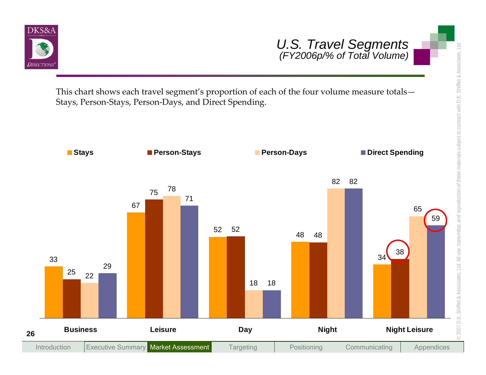

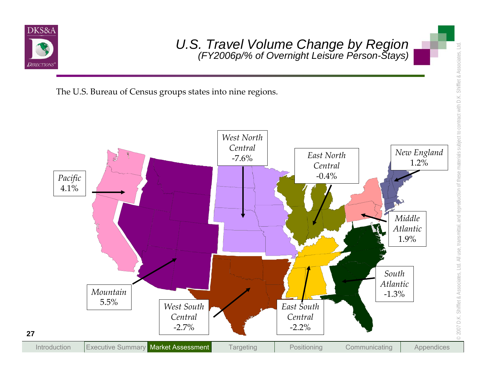

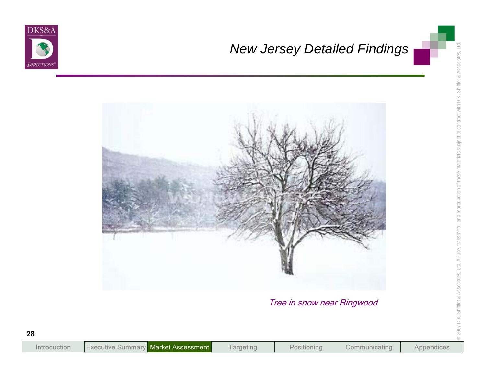



Tree in snow near Ringwood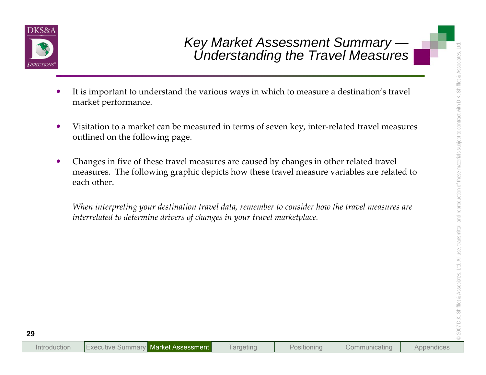

- 
- 
- **Examples 18 Analytical Constant Cummary**<br> **Examples 18 Analytical Constant Cummary**<br> **Examples 18 Analytical Constant Cummary**<br> **Examples 18 Analytical Constant Cummary**<br> **Examples 18 Analytical Constant Cummary**<br> **Exampl**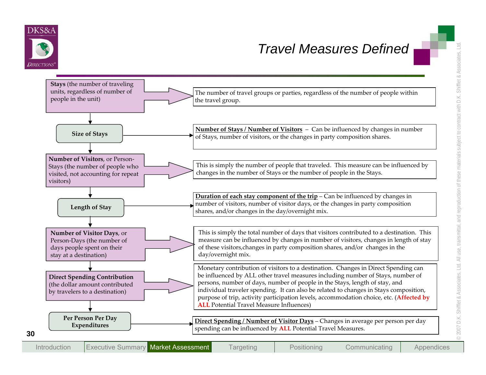

## *Travel Measures Defined*

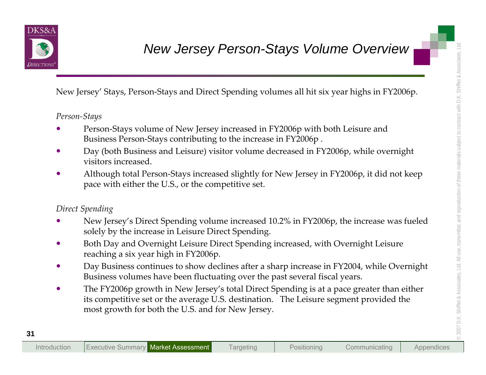

- 
- 
- 

- 
- 
- 
- New Jersey Person-Stays Volume Overview New Your Mexicon Stays Volume Control (New Your Mexicon Stays and Direct Spending volumes all hit six year highs in FY2006p.<br>
New Jersey Stays, Person-Stays contributing to the incre

| <b>Market Assessment</b><br>Introduction<br>Nexecutive Summa. | argeting | Positioning | Communicating | Appendices |
|---------------------------------------------------------------|----------|-------------|---------------|------------|
|---------------------------------------------------------------|----------|-------------|---------------|------------|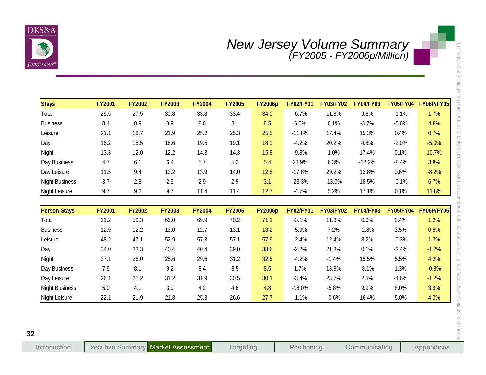

| <b>Stays</b>          | <b>FY2001</b><br>29.5 | <b>FY2002</b> | <b>FY2003</b> | <b>FY2004</b> | <b>FY2005</b><br>33.4 | <b>FY2006p</b> | <b>FY02/FY01</b> | <b>FY03/FY02</b> | <b>FY04/FY03</b> | <b>FY05/FY04</b> | <b>FY06P/FY05</b> |
|-----------------------|-----------------------|---------------|---------------|---------------|-----------------------|----------------|------------------|------------------|------------------|------------------|-------------------|
| Total                 |                       | 27.5          | $30.8\,$      | 33.8          |                       | 34.0           | $-6.7%$          | 11.8%            | 9.8%             | $-1.1%$          | 1.7%              |
| <b>Business</b>       | 8.4<br>21.1           | 8.9<br>18.7   | 8.9<br>21.9   | 8.6<br>25.2   | 8.1<br>25.3           | 8.5<br>25.5    | 6.0%<br>$-11.8%$ | 0.1%<br>17.4%    | $-3.7%$<br>15.3% | $-5.6%$<br>0.4%  | 4.8%<br>0.7%      |
| Leisure<br>Day        | 16.2                  | 15.5          | 18.6          | 19.5          | 19.1                  | 18.2           | $-4.2%$          | 20.2%            | 4.8%             | $-2.0%$          | $-5.0%$           |
| Night                 | 13.3                  | 12.0          | 12.2          | 14.3          | 14.3                  | 15.8           | $-9.8%$          | 1.0%             | 17.4%            | 0.1%             | 10.7%             |
| Day Business          | 4.7                   | 6.1           | 6.4           | 5.7           | 5.2                   | 5.4            | 28.9%            | 6.3%             | $-12.2%$         | $-8.4%$          | 3.8%              |
| Day Leisure           | 11.5                  | 9.4           | 12.2          | 13.9          | 14.0                  | 12.8           | $-17.8%$         | 29.2%            | 13.8%            | 0.6%             | $-8.2%$           |
| <b>Night Business</b> | 3.7                   | 2.8           | 2.5           | 2.9           | 2.9                   | 3.1            | $-23.3%$         | $-13.0%$         | 18.5%            | $-0.1%$          | 6.7%              |
| <b>Night Leisure</b>  | 9.7                   | 9.2           | 9.7           | 11.4          | 11.4                  | 12.7           | $-4.7%$          | 5.2%             | 17.1%            | 0.1%             | 11.8%             |
|                       |                       |               |               |               |                       |                |                  |                  |                  |                  |                   |
| <b>Person-Stays</b>   | <b>FY2001</b>         | <b>FY2002</b> | <b>FY2003</b> | <b>FY2004</b> | <b>FY2005</b>         | <b>FY2006p</b> | <b>FY02/FY01</b> | <b>FY03/FY02</b> | <b>FY04/FY03</b> | <b>FY05/FY04</b> | <b>FY06P/FY05</b> |
| Total                 | 61.2                  | 59.3          | 66.0          | 69.9          | 70.2                  | 71.1           | $-3.1%$          | 11.3%            | 6.0%             | 0.4%             | 1.2%              |
| <b>Business</b>       | 12.9                  | 12.2          | 13.0          | 12.7          | 13.1                  | 13.2           | $-5.9%$          | 7.2%             | $-2.8%$          | 3.5%             | 0.8%              |
| Leisure               | 48.2                  | 47.1          | 52.9          | 57.3          | 57.1                  | 57.9           | $-2.4%$          | 12.4%            | 8.2%             | $-0.3%$          | 1.3%              |
| Day                   | 34.0                  | 33.3          | 40.4          | 40.4          | 39.0                  | 38.6           | $-2.2%$          | 21.3%            | 0.1%             | $-3.4%$          | $-1.2%$           |
| Night                 | 27.1                  | 26.0          | 25.6          | 29.6          | 31.2                  | 32.5           | $-4.2%$          | $-1.4%$          | 15.5%            | 5.5%             | 4.2%              |
| Day Business          | 7.9                   | 8.1           | 9.2           | 8.4           | 8.5                   | 8.5            | 1.7%             | 13.8%            | $-8.1%$          | 1.3%             | $-0.8%$           |
| Day Leisure           | 26.1                  | 25.2          | 31.2          | 31.9          | 30.5                  | 30.1           | $-3.4%$          | 23.7%            | 2.5%             | $-4.6%$          | $-1.2%$           |
| <b>Night Business</b> | $5.0\,$               | 4.1           | 3.9           | 4.2           | 4.6                   | 4.8            | $-18.0%$         | $-5.8%$          | 9.9%             | 8.0%             | 3.9%              |
| <b>Night Leisure</b>  | 22.1                  | 21.9          | 21.8          | 25.3          | 26.6                  | 27.7           | $-1.1%$          | $-0.6%$          | 16.4%            | 5.0%             | 4.3%              |

| <b>Person-Stays</b>   | <b>FY2001</b> | <b>FY2002</b> | <b>FY2003</b> | <b>FY2004</b> | <b>FY2005</b> | <b>FY2006p</b> | <b>FY02/FY01</b> | <b>FY03/FY02</b> | <b>FY04/FY03</b> | <b>FY05/FY04</b> | <b>FY06P/FY05</b> |
|-----------------------|---------------|---------------|---------------|---------------|---------------|----------------|------------------|------------------|------------------|------------------|-------------------|
| Total                 | 61.2          | 59.3          | 66.0          | 69.9          | 70.2          | 71.1           | $-3.1%$          | 11.3%            | 6.0%             | 0.4%             | 1.2%              |
| Business              | 12.9          | 12.2          | 13.0          | 12.7          | 13.1          | 13.2           | $-5.9%$          | 7.2%             | $-2.8%$          | 3.5%             | 0.8%              |
| Leisure               | 48.2          | 47.1          | 52.9          | 57.3          | 57.1          | 57.9           | $-2.4%$          | 12.4%            | 8.2%             | $-0.3%$          | 1.3%              |
| $\log$                | 34.0          | 33.3          | 40.4          | 40.4          | 39.0          | 38.6           | $-2.2%$          | 21.3%            | 0.1%             | $-3.4%$          | $-1.2%$           |
| Night                 | 27.1          | 26.0          | 25.6          | 29.6          | 31.2          | 32.5           | $-4.2%$          | $-1.4%$          | 15.5%            | 5.5%             | 4.2%              |
| Day Business          | 7.9           | 8.1           | 9.2           | 8.4           | 8.5           | 8.5            | 1.7%             | 13.8%            | $-8.1%$          | 1.3%             | $-0.8%$           |
| Day Leisure           | 26.1          | 25.2          | 31.2          | 31.9          | 30.5          | 30.1           | $-3.4%$          | 23.7%            | 2.5%             | $-4.6%$          | $-1.2%$           |
| <b>Night Business</b> | 5.0           | 4.1           | 3.9           | 4.2           | 4.6           | 4.8            | $-18.0%$         | $-5.8%$          | 9.9%             | 8.0%             | 3.9%              |
| Night Leisure         | 22.1          | 21.9          | 21.8          | 25.3          | 26.6          | 27.7           | $-1.1%$          | $-0.6%$          | 16.4%            | 5.0%             | 4.3%              |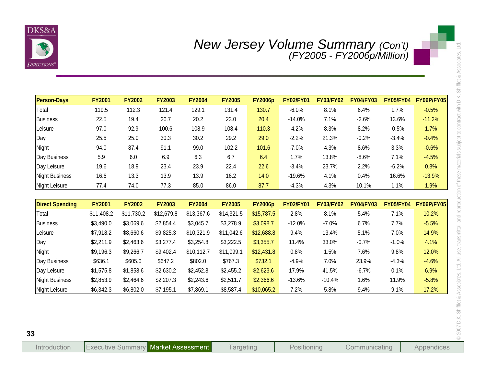

| <b>Person-Days</b>     | <b>FY2001</b> | <b>FY2002</b> | <b>FY2003</b> | <b>FY2004</b> | <b>FY2005</b> | <b>FY2006p</b> | <b>FY02/FY01</b> | <b>FY03/FY02</b> | <b>FY04/FY03</b> | <b>FY05/FY04</b> | <b>FY06P/FY05</b> |
|------------------------|---------------|---------------|---------------|---------------|---------------|----------------|------------------|------------------|------------------|------------------|-------------------|
| Total                  | 119.5         | 112.3         | 121.4         | 129.1         | 131.4         | 130.7          | $-6.0%$          | 8.1%             | 6.4%             | 1.7%             | $-0.5%$           |
| <b>Business</b>        | 22.5          | 19.4          | 20.7          | 20.2          | 23.0          | 20.4           | $-14.0%$         | 7.1%             | $-2.6%$          | 13.6%            | $-11.2%$          |
| Leisure                | 97.0          | 92.9          | 100.6         | 108.9         | 108.4         | 110.3          | $-4.2%$          | 8.3%             | 8.2%             | $-0.5%$          | 1.7%              |
| Day                    | 25.5          | 25.0          | 30.3          | 30.2          | 29.2          | 29.0           | $-2.2%$          | 21.3%            | $-0.2%$          | $-3.4%$          | $-0.4%$           |
| Night                  | 94.0          | 87.4          | 91.1          | 99.0          | 102.2         | 101.6          | $-7.0%$          | 4.3%             | 8.6%             | 3.3%             | $-0.6%$           |
| Day Business           | 5.9           | 6.0           | 6.9           | 6.3           | 6.7           | 6.4            | 1.7%             | 13.8%            | $-8.6%$          | 7.1%             | $-4.5%$           |
| Day Leisure            | 19.6          | 18.9          | 23.4          | 23.9          | 22.4          | 22.6           | $-3.4%$          | 23.7%            | 2.2%             | $-6.2%$          | 0.8%              |
| <b>Night Business</b>  | 16.6          | 13.3          | 13.9          | 13.9          | 16.2          | 14.0           | $-19.6%$         | 4.1%             | 0.4%             | 16.6%            | $-13.9%$          |
| Night Leisure          | 77.4          | 74.0          | 77.3          | 85.0          | 86.0          | 87.7           | $-4.3%$          | 4.3%             | 10.1%            | 1.1%             | 1.9%              |
|                        |               |               |               |               |               |                |                  |                  |                  |                  |                   |
| <b>Direct Spending</b> | <b>FY2001</b> | <b>FY2002</b> | <b>FY2003</b> | <b>FY2004</b> | <b>FY2005</b> | <b>FY2006p</b> | <b>FY02/FY01</b> | <b>FY03/FY02</b> | <b>FY04/FY03</b> | <b>FY05/FY04</b> | <b>FY06P/FY05</b> |
| Total                  | \$11,408.2    | \$11,730.2    | \$12,679.8    | \$13,367.6    | \$14,321.5    | \$15,787.5     | 2.8%             | 8.1%             | 5.4%             | 7.1%             | 10.2%             |
| <b>Business</b>        | \$3,490.0     | \$3,069.6     | \$2,854.4     | \$3,045.7     | \$3,278.9     | \$3,098.7      | $-12.0%$         | $-7.0%$          | 6.7%             | 7.7%             | $-5.5%$           |
| Leisure                | \$7,918.2     | \$8,660.6     | \$9,825.3     | \$10,321.9    | \$11,042.6    | \$12,688.8     | 9.4%             | 13.4%            | 5.1%             | 7.0%             | 14.9%             |
| Day                    | \$2,211.9     | \$2,463.6     | \$3,277.4     | \$3,254.8     | \$3,222.5     | \$3,355.7      | 11.4%            | 33.0%            | $-0.7%$          | $-1.0%$          | 4.1%              |
| Night                  | \$9,196.3     | \$9,266.7     | \$9,402.4     | \$10,112.7    | \$11,099.1    | \$12,431.8     | 0.8%             | 1.5%             | 7.6%             | 9.8%             | 12.0%             |
| Day Business           | \$636.1       | \$605.0       | \$647.2       | \$802.0       | \$767.3       | \$732.1        | $-4.9%$          | 7.0%             | 23.9%            | $-4.3%$          | $-4.6%$           |
| Day Leisure            | \$1,575.8     | \$1,858.6     | \$2,630.2     | \$2,452.8     | \$2,455.2     | \$2,623.6      | 17.9%            | 41.5%            | $-6.7%$          | 0.1%             | 6.9%              |
|                        | \$2,853.9     | \$2,464.6     | \$2,207.3     | \$2,243.6     | \$2,511.7     | \$2,366.6      | $-13.6%$         | $-10.4%$         | 1.6%             | 11.9%            | $-5.8%$           |
| <b>Night Business</b>  |               |               |               |               |               |                |                  |                  |                  |                  |                   |

| <b>Direct Spending</b> | <b>FY2001</b> | <b>FY2002</b> | <b>FY2003</b> | <b>FY2004</b> | <b>FY2005</b> | <b>FY2006p</b> | <b>FY02/FY01</b> | <b>FY03/FY02</b> | <b>FY04/FY03</b> | <b>FY05/FY04</b> | FY06P/FY05 |
|------------------------|---------------|---------------|---------------|---------------|---------------|----------------|------------------|------------------|------------------|------------------|------------|
| Total                  | \$11,408.2    | \$11,730.2    | \$12,679.8    | \$13,367.6    | \$14,321.5    | \$15,787.5     | 2.8%             | 8.1%             | 5.4%             | 7.1%             | 10.2%      |
| <b>Business</b>        | \$3,490.0     | \$3,069.6     | \$2,854.4     | \$3,045.7     | \$3,278.9     | \$3,098.7      | $-12.0%$         | $-7.0\%$         | 6.7%             | $7.7\%$          | $-5.5%$    |
| Leisure                | \$7,918.2     | \$8,660.6     | \$9,825.3     | \$10,321.9    | \$11,042.6    | \$12,688.8     | 9.4%             | 13.4%            | 5.1%             | $7.0\%$          | 14.9%      |
| Day                    | \$2,211.9     | \$2,463.6     | \$3,277.4     | \$3,254.8     | \$3,222.5     | \$3,355.7      | 11.4%            | 33.0%            | $-0.7%$          | $-1.0\%$         | 4.1%       |
| Night                  | \$9,196.3     | \$9,266.7     | \$9,402.4     | \$10.112.7    | \$11,099.1    | \$12,431.8     | $0.8\%$          | l.5%             | 7.6%             | 9.8%             | 12.0%      |
| Day Business           | \$636.1       | \$605.0       | \$647.2       | \$802.0       | \$767.3       | \$732.1        | $-4.9%$          | 7.0%             | 23.9%            | $-4.3%$          | $-4.6%$    |
| Day Leisure            | \$1,575.8     | \$1,858.6     | \$2,630.2     | \$2,452.8     | \$2,455.2     | \$2,623.6      | 17.9%            | 41.5%            | $-6.7%$          | 0.1%             | 6.9%       |
| <b>Night Business</b>  | \$2,853.9     | \$2,464.6     | \$2,207.3     | \$2,243.6     | \$2,511.7     | \$2,366.6      | $-13.6%$         | $-10.4\%$        | 1.6%             | 11.9%            | $-5.8%$    |
| <b>Night Leisure</b>   | \$6,342.3     | \$6,802.0     | \$7,195.1     | \$7,869.1     | \$8,587.4     | \$10,065.2     | 7.2%             | 5.8%             | 9.4%             | 9.1%             | 17.2%      |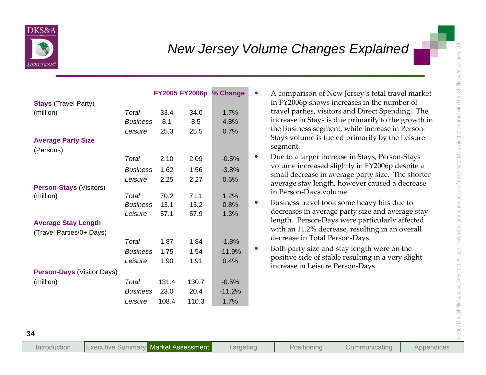

| <b>Stays (Travel Party)</b>            |                          |             |             | FY2005 FY2006p % Change | A comparison of New Jersey's total travel market<br>$\bullet$<br>in FY2006p shows increases in the number of                                                |
|----------------------------------------|--------------------------|-------------|-------------|-------------------------|-------------------------------------------------------------------------------------------------------------------------------------------------------------|
| (million)                              | Total<br><b>Business</b> | 33.4<br>8.1 | 34.0<br>8.5 | 1.7%<br>4.8%            | travel parties, visitors and Direct Spending. The<br>increase in Stays is due primarily to the growth in<br>the Business segment, while increase in Person- |
| <b>Average Party Size</b><br>(Persons) | Leisure                  | 25.3        | 25.5        | 0.7%                    | Stays volume is fueled primarily by the Leisure<br>segment.                                                                                                 |
|                                        | Total                    | 2.10        | 2.09        | $-0.5%$                 | Due to a larger increase in Stays, Person-Stays<br>$\bullet$                                                                                                |
|                                        | <b>Business</b>          | 1.62        | 1.56        | $-3.8%$                 | volume increased slightly in FY2006p despite a                                                                                                              |
| <b>Person-Stays (Visitors)</b>         | Leisure                  | 2.25        | 2.27        | 0.6%                    | small decrease in average party size. The shorter<br>average stay length, however caused a decrease                                                         |
| (million)                              | Total                    | 70.2        | 71.1        | 1.2%                    | in Person-Days volume.                                                                                                                                      |
|                                        | <b>Business</b>          | 13.1        | 13.2        | 0.8%                    | Business travel took some heavy hits due to<br>$\bullet$<br>decreases in average party size and average stay                                                |
| <b>Average Stay Length</b>             | Leisure                  | 57.1        | 57.9        | 1.3%                    | length. Person-Days were particularly affected                                                                                                              |
| (Travel Parties/0+ Days)               |                          |             |             |                         | with an 11.2% decrease, resulting in an overall                                                                                                             |
|                                        | Total                    | 1.87        | 1.84        | $-1.8%$                 | decrease in Total Person-Days.                                                                                                                              |
|                                        | <b>Business</b>          | 1.75        | 1.54        | $-11.9%$                | Both party size and stay length were on the<br>$\bullet$                                                                                                    |
|                                        | Leisure                  | 1.90        | 1.91        | 0.4%                    | positive side of stable resulting in a very slight                                                                                                          |
| <b>Person-Days (Visitor Days)</b>      |                          |             |             |                         | increase in Leisure Person-Days.                                                                                                                            |
| (million)                              | Total                    | 131.4       | 130.7       | $-0.5%$                 |                                                                                                                                                             |
|                                        | <b>Business</b>          | 23.0        | 20.4        | $-11.2%$                |                                                                                                                                                             |
|                                        | Leisure                  | 108.4       | 110.3       | 1.7%                    |                                                                                                                                                             |

- 
- 
- 
-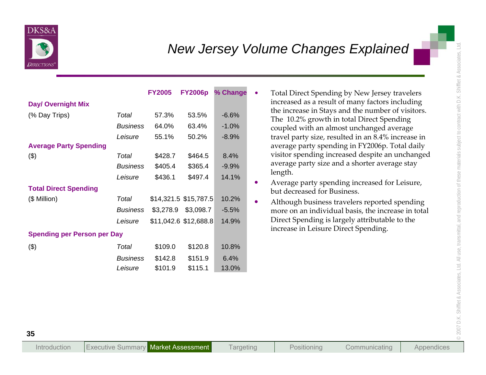

| <b>Day/ Overnight Mix</b><br>(% Day Trips)   | Total<br><b>Business</b>                       | <b>FY2005</b><br>57.3%<br>64.0%        | <b>FY2006p</b><br>53.5%<br>63.4%                                      | % Change<br>$-6.6%$<br>$-1.0%$      | Total Direct Spending by New Jersey travelers<br>$\bullet$<br>increased as a result of many factors including<br>the increase in Stays and the number of visitors.<br>The 10.2% growth in total Direct Spending<br>coupled with an almost unchanged average     |
|----------------------------------------------|------------------------------------------------|----------------------------------------|-----------------------------------------------------------------------|-------------------------------------|-----------------------------------------------------------------------------------------------------------------------------------------------------------------------------------------------------------------------------------------------------------------|
| <b>Average Party Spending</b><br>$($ \$)     | Leisure<br>Total<br><b>Business</b><br>Leisure | 55.1%<br>\$428.7<br>\$405.4<br>\$436.1 | 50.2%<br>\$464.5<br>\$365.4<br>\$497.4                                | $-8.9%$<br>8.4%<br>$-9.9%$<br>14.1% | travel party size, resulted in an 8.4% increase in<br>average party spending in FY2006p. Total daily<br>visitor spending increased despite an unchanged<br>average party size and a shorter average stay<br>length.                                             |
| <b>Total Direct Spending</b><br>(\$ Million) | Total<br><b>Business</b><br>Leisure            |                                        | \$14,321.5 \$15,787.5<br>\$3,278.9 \$3,098.7<br>\$11,042.6 \$12,688.8 | 10.2%<br>$-5.5%$<br>14.9%           | Average party spending increased for Leisure,<br>$\bullet$<br>but decreased for Business.<br>Although business travelers reported spending<br>$\bullet$<br>more on an individual basis, the increase in total<br>Direct Spending is largely attributable to the |
| <b>Spending per Person per Day</b><br>$(\$)$ | Total<br><b>Business</b><br>Leisure            | \$109.0<br>\$142.8<br>\$101.9          | \$120.8<br>\$151.9<br>\$115.1                                         | 10.8%<br>6.4%<br>13.0%              | increase in Leisure Direct Spending.                                                                                                                                                                                                                            |

- 
- 
-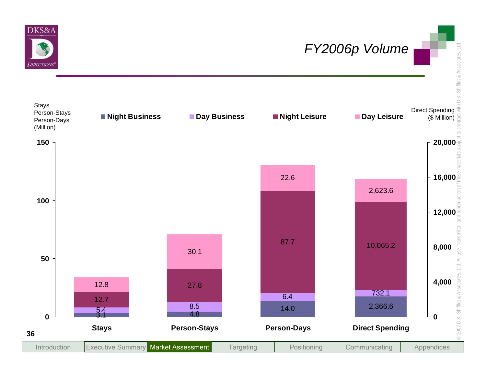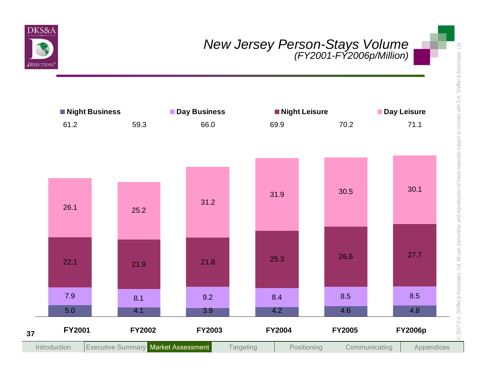

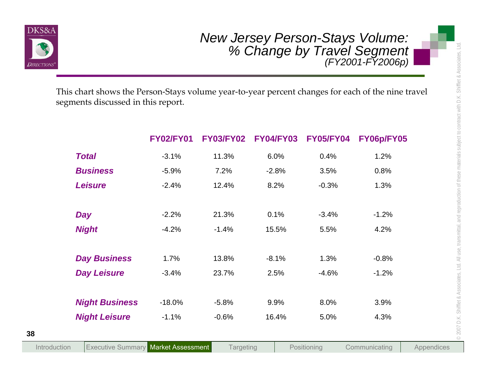

|                                                                                                                                         |                  |                  |                  |                  | <b>New Jersey Person-Stays Volume:</b><br>% Change by Travel Segment<br>(FY2001-FY2006p) |            |
|-----------------------------------------------------------------------------------------------------------------------------------------|------------------|------------------|------------------|------------------|------------------------------------------------------------------------------------------|------------|
| This chart shows the Person-Stays volume year-to-year percent changes for each of the nine travel<br>segments discussed in this report. |                  |                  |                  |                  |                                                                                          |            |
|                                                                                                                                         | <b>FY02/FY01</b> | <b>FY03/FY02</b> | <b>FY04/FY03</b> | <b>FY05/FY04</b> | FY06p/FY05                                                                               |            |
| <b>Total</b>                                                                                                                            | $-3.1%$          | 11.3%            | 6.0%             | 0.4%             | 1.2%                                                                                     |            |
| <b>Business</b>                                                                                                                         | $-5.9%$          | 7.2%             | $-2.8%$          | 3.5%             | 0.8%                                                                                     |            |
| <b>Leisure</b>                                                                                                                          | $-2.4%$          | 12.4%            | 8.2%             | $-0.3%$          | 1.3%                                                                                     |            |
| <b>Day</b>                                                                                                                              | $-2.2%$          | 21.3%            | 0.1%             | $-3.4%$          | $-1.2%$                                                                                  |            |
| <b>Night</b>                                                                                                                            | $-4.2%$          | $-1.4%$          | 15.5%            | 5.5%             | 4.2%                                                                                     |            |
| <b>Day Business</b>                                                                                                                     | 1.7%             | 13.8%            | $-8.1%$          | 1.3%             | $-0.8%$                                                                                  |            |
| <b>Day Leisure</b>                                                                                                                      | $-3.4%$          | 23.7%            | 2.5%             | $-4.6%$          | $-1.2%$                                                                                  |            |
| <b>Night Business</b>                                                                                                                   | $-18.0%$         | $-5.8%$          | 9.9%             | 8.0%             | 3.9%                                                                                     |            |
| <b>Night Leisure</b>                                                                                                                    | $-1.1%$          | $-0.6%$          | 16.4%            | 5.0%             | 4.3%                                                                                     |            |
| <b>Executive Summary Market Assessment</b><br>Introduction                                                                              |                  | <b>Targeting</b> |                  | Positioning      | Communicating                                                                            | Appendices |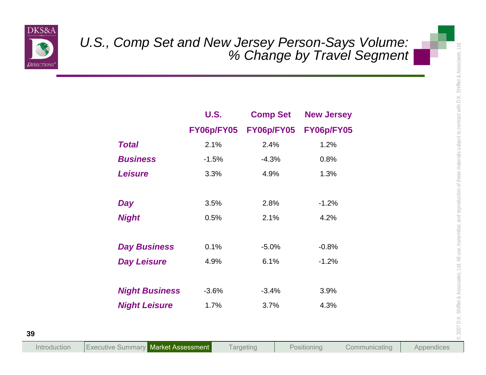

|                       | <b>U.S.</b> | <b>Comp Set</b> | <b>New Jersey</b> |  |
|-----------------------|-------------|-----------------|-------------------|--|
|                       | FY06p/FY05  | FY06p/FY05      | FY06p/FY05        |  |
| <b>Total</b>          | 2.1%        | 2.4%            | 1.2%              |  |
| <b>Business</b>       | $-1.5%$     | $-4.3%$         | 0.8%              |  |
| <b>Leisure</b>        | 3.3%        | 4.9%            | 1.3%              |  |
| <b>Day</b>            | 3.5%        | 2.8%            | $-1.2%$           |  |
| <b>Night</b>          | 0.5%        | 2.1%            | 4.2%              |  |
| <b>Day Business</b>   | 0.1%        | $-5.0%$         | $-0.8%$           |  |
| <b>Day Leisure</b>    | 4.9%        | 6.1%            | $-1.2%$           |  |
| <b>Night Business</b> | $-3.6%$     | $-3.4%$         | 3.9%              |  |
| <b>Night Leisure</b>  | 1.7%        | 3.7%            | 4.3%              |  |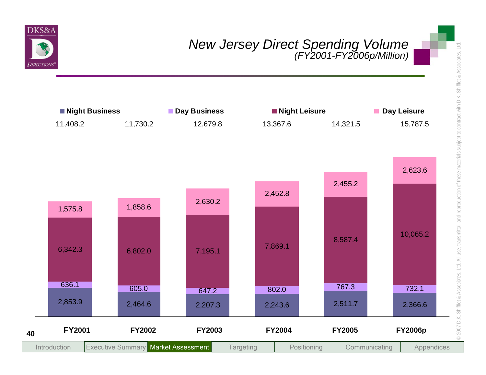

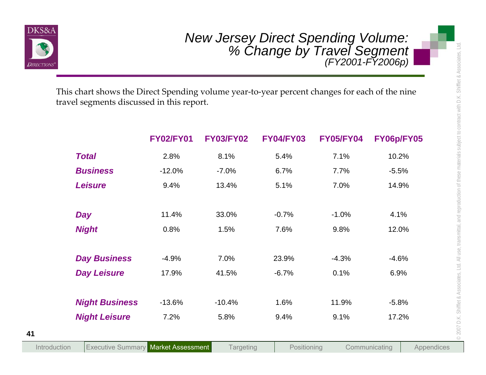

| This chart shows the Direct Spending volume year-to-year percent changes for each of the nine<br>travel segments discussed in this report. |                  |                  |                  |                  |            |
|--------------------------------------------------------------------------------------------------------------------------------------------|------------------|------------------|------------------|------------------|------------|
|                                                                                                                                            | <b>FY02/FY01</b> | <b>FY03/FY02</b> | <b>FY04/FY03</b> | <b>FY05/FY04</b> | FY06p/FY05 |
| <b>Total</b>                                                                                                                               | 2.8%             | 8.1%             | 5.4%             | 7.1%             | 10.2%      |
| <b>Business</b>                                                                                                                            | $-12.0%$         | $-7.0%$          | 6.7%             | 7.7%             | $-5.5%$    |
| <b>Leisure</b>                                                                                                                             | 9.4%             | 13.4%            | 5.1%             | 7.0%             | 14.9%      |
| <b>Day</b>                                                                                                                                 | 11.4%            | 33.0%            | $-0.7%$          | $-1.0%$          | 4.1%       |
| <b>Night</b>                                                                                                                               | 0.8%             | 1.5%             | 7.6%             | 9.8%             | 12.0%      |
| <b>Day Business</b>                                                                                                                        | $-4.9%$          | 7.0%             | 23.9%            | $-4.3%$          | $-4.6%$    |
| <b>Day Leisure</b>                                                                                                                         | 17.9%            | 41.5%            | $-6.7%$          | 0.1%             | 6.9%       |
| <b>Night Business</b>                                                                                                                      | $-13.6%$         | $-10.4%$         | 1.6%             | 11.9%            | $-5.8%$    |
| <b>Night Leisure</b>                                                                                                                       | 7.2%             | 5.8%             | 9.4%             | 9.1%             | 17.2%      |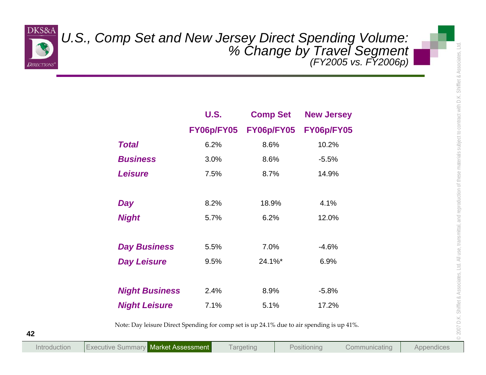

|                       | U.S., Comp Set and New Jersey Direct Spending Volume:<br>6 Change by Travel Segment (FY2005 vs. FY2006p) |                 |                   |  |  |
|-----------------------|----------------------------------------------------------------------------------------------------------|-----------------|-------------------|--|--|
|                       | <b>U.S.</b>                                                                                              | <b>Comp Set</b> | <b>New Jersey</b> |  |  |
|                       | FY06p/FY05                                                                                               | FY06p/FY05      | FY06p/FY05        |  |  |
| <b>Total</b>          | 6.2%                                                                                                     | 8.6%            | 10.2%             |  |  |
| <b>Business</b>       | 3.0%                                                                                                     | 8.6%            | $-5.5%$           |  |  |
| <b>Leisure</b>        | 7.5%                                                                                                     | 8.7%            | 14.9%             |  |  |
| Day                   | 8.2%                                                                                                     | 18.9%           | 4.1%              |  |  |
| <b>Night</b>          | 5.7%                                                                                                     | 6.2%            | 12.0%             |  |  |
| <b>Day Business</b>   | 5.5%                                                                                                     | 7.0%            | $-4.6%$           |  |  |
| <b>Day Leisure</b>    | 9.5%                                                                                                     | 24.1%*          | 6.9%              |  |  |
| <b>Night Business</b> | 2.4%                                                                                                     | 8.9%            | $-5.8%$           |  |  |
| <b>Night Leisure</b>  | 7.1%                                                                                                     | 5.1%            | 17.2%             |  |  |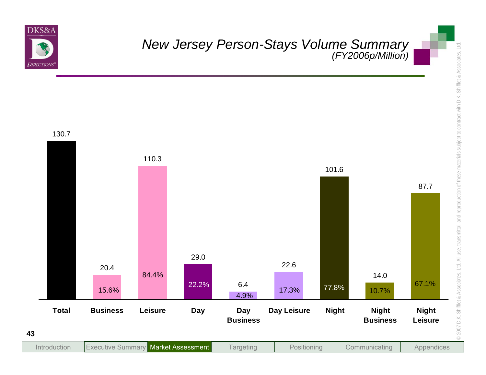

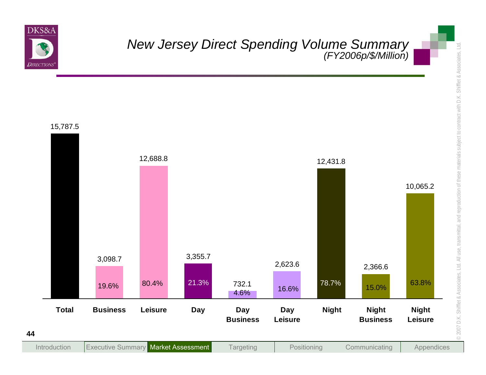

New Jersey Direct Spending Volume Summary<br>
(FY2006p3Million)<br>
15,787.5<br>
15,787.5<br>
15,888.<br>
16,098.7<br>
16,098.7<br>
16,098.7<br>
16,098.7<br>
16,098.7<br>
16,098.7<br>
16,098.7<br>
16,098.7<br>
16,098.7<br>
16,098.7<br>
16,098.7<br>
16,098.2<br>
16,098.7<br>
1 **Targeting** IntroductionExecutive Summary Market Assessment Targeting | Positioning | Communicating Appendices 10,065.2 2,366.6 12,431.8 2,623.6 732.13,355.7 12,688.8 3,098.7 15,787.5 63.8% 15.0% 78.7% 16.6% 4.6% 19.6% 80.4% 21.3% **Total Business Leisure Day Day BusinessDay LeisureNight Night BusinessNight Leisure**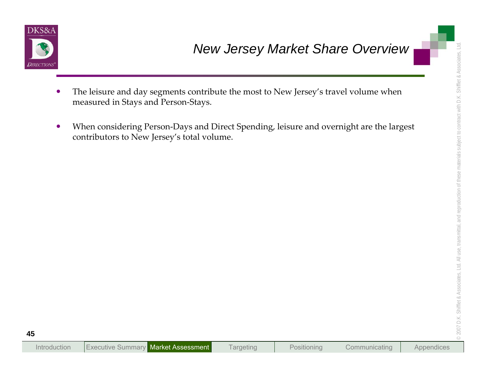

- 
- New Jersey Market Share Overview<br>
The leisure and day segments contribute the most to New Jersey's travel volume when<br>
moasured in Stays and Person-Days and Direct Spending, leisure and overnight are the largest<br>
contribut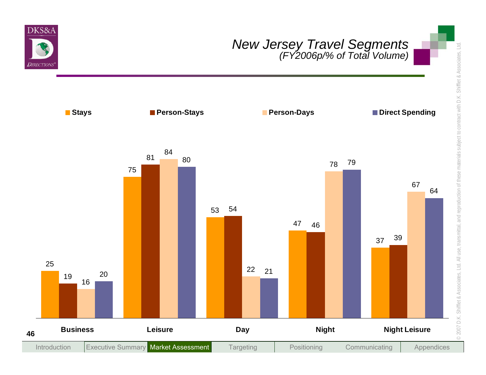

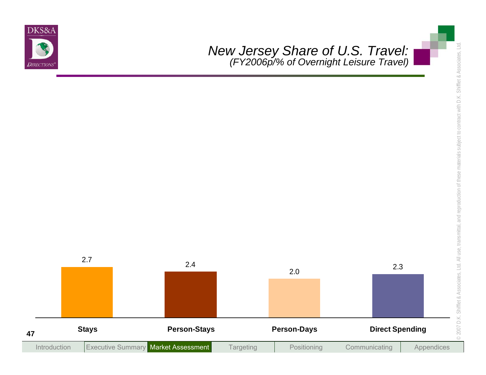

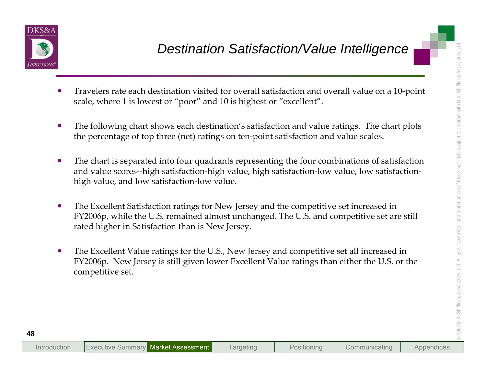

- 
- 
- **Example 10**<br> **Destination Satisfaction/Value Intelligence**<br>
 Travelers rate each destination visited for overall satisfaction and overall value on a 10-point<br>
scale, where 1 is lowest or "poor" and 10 is highest or "exce
	-
	-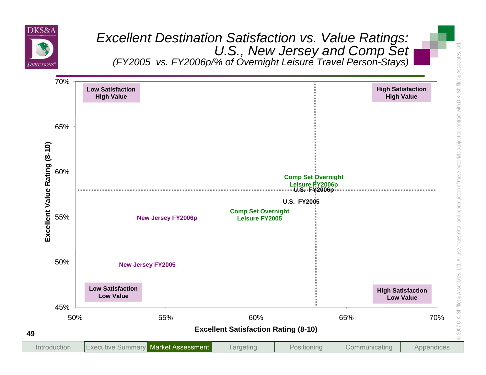

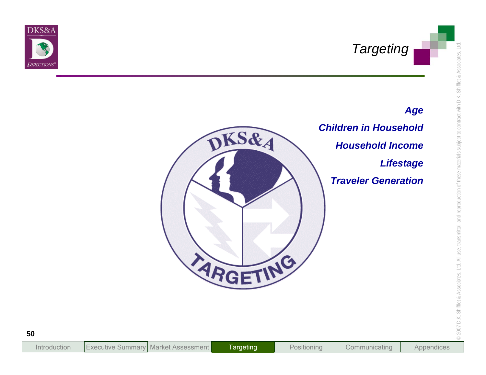

# *Age*



*Children in HouseholdHousehold IncomeLifestage Traveler Generation*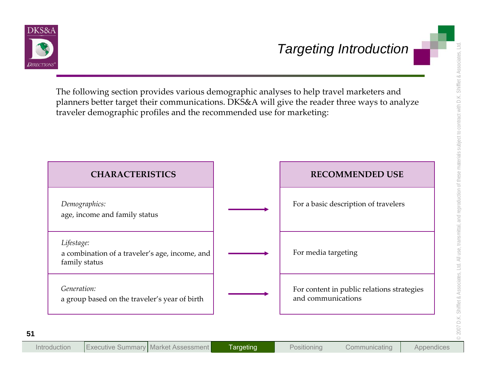

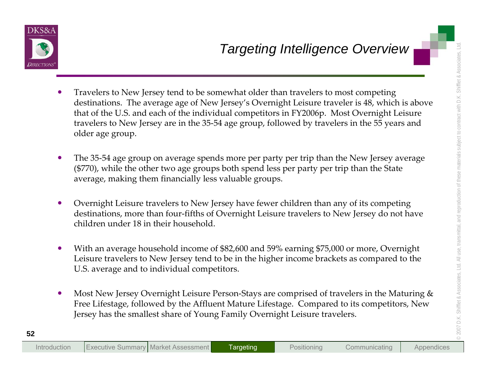- Targeting Intelligence Overview<br>
Continuous. The average age of New Jersey's Overnight Leisure travelets is a which is above<br>
that of the U.S. and each of the individual competitions in FY2006p. Most Overnight Leisure<br>
tra  $\bullet$ **•** Travelers to New Jersey tend to be somewhat older than travelers to most competing destinations. The average age of New Jersey's Overnight Leisure traveler is 48, which is above that of the U.S. and each of the individual competitors in FY2006p. Most Overnight Leisure travelers to New Jersey are in the 35‐54 age group, followed by travelers in the <sup>55</sup> years and older age group.
	- $\bullet$  The 35‐54 age group on average spends more per party per trip than the New Jersey average (\$770), while the other two age groups both spend less per party per trip than the State average, making them financially less valuable groups.
	- $\bullet$  Overnight Leisure travelers to New Jersey have fewer children than any of its competing destinations, more than four‐fifths of Overnight Leisure travelers to New Jersey do not have children under 18 in their household.
	- $\bullet$  With an average household income of \$82,600 and 59% earning \$75,000 or more, Overnight Leisure travelers to New Jersey tend to be in the higher income brackets as compared to the U.S. average and to individual competitors.
	- $\bullet$ ● Most New Jersey Overnight Leisure Person-Stays are comprised of travelers in the Maturing & Free Lifestage, followed by the Affluent Mature Lifestage. Compared to its competitors, New Jersey has the smallest share of Young Family Overnight Leisure travelers.

Introduction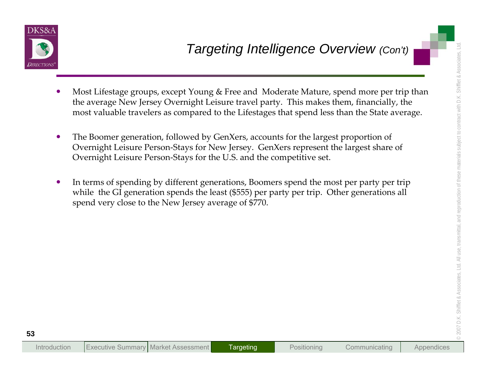

- <p><b>20.20</b></p>\n<p>7. A test: <b>1</b> is the average group, except Young &amp; Free and Modern the average, New Jersey. Our method is the average value of the Liestages that spend less than the State average, most valuable traverses as compared to the Liestages that spend has the State average.</p>\n<p>8. The Boomer generation, followed by CenzKers, accounts for the largest proportion of Overnight Leisure Person-Stays for New Jersey. GenXers represent the largest share of Overnight Leisure Person-Stays for New Jersey. GenXers represent the largest share of the terms of spending by different generations, Boomers spend the most per party per trip while the GJ generation spends the least (5555) per party per trip. Other generations all spend very close to the New Jersey average of 5770.</p>  $\bullet$  Most Lifestage groups, excep<sup>t</sup> Young & Free and Moderate Mature, spend more per trip than the average New Jersey Overnight Leisure travel party. This makes them, financially, the most valuable travelers as compared to the Lifestages that spend less than the State average.
	- $\bullet$  The Boomer generation, followed by GenXers, accounts for the largest proportion of Overnight Leisure Person‐Stays for New Jersey. GenXers represen<sup>t</sup> the largest share of Overnight Leisure Person‐Stays for the U.S. and the competitive set.
	- $\bullet$ • In terms of spending by different generations, Boomers spend the most per party per trip while the GI generation spends the least (\$555) per party per trip. Other generations all spend very close to the New Jersey average of \$770.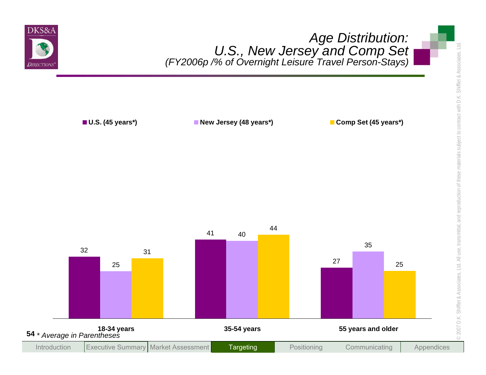

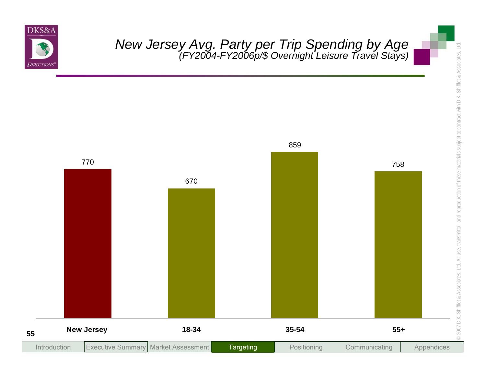

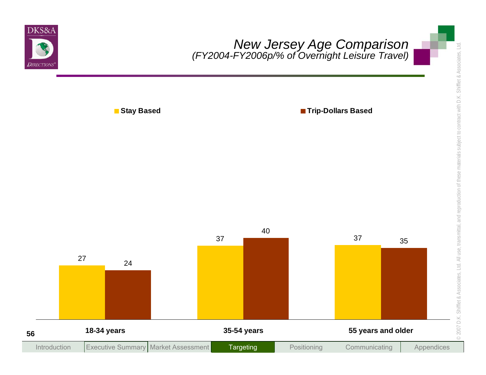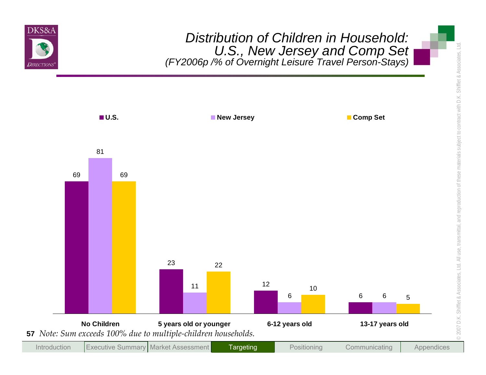

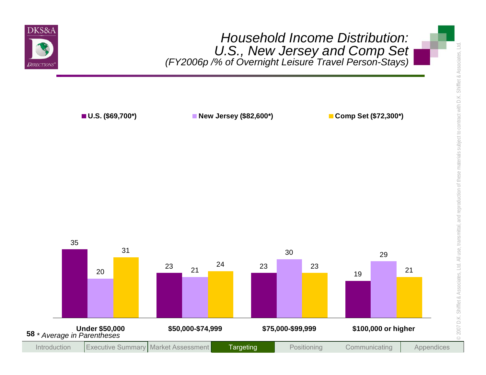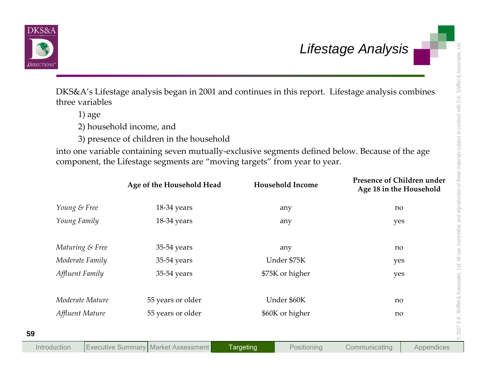

| three variables |                                                                                                                                                                               |                         | DKS&A's Lifestage analysis began in 2001 and continues in this report. Lifestage analysis combines |
|-----------------|-------------------------------------------------------------------------------------------------------------------------------------------------------------------------------|-------------------------|----------------------------------------------------------------------------------------------------|
| $1)$ age        |                                                                                                                                                                               |                         |                                                                                                    |
|                 | 2) household income, and                                                                                                                                                      |                         |                                                                                                    |
|                 | 3) presence of children in the household                                                                                                                                      |                         |                                                                                                    |
|                 | into one variable containing seven mutually-exclusive segments defined below. Because of the age<br>component, the Lifestage segments are "moving targets" from year to year. | <b>Household Income</b> | Presence of Children under                                                                         |
|                 | Age of the Household Head                                                                                                                                                     |                         | Age 18 in the Household                                                                            |
| Young & Free    | 18-34 years                                                                                                                                                                   | any                     | no                                                                                                 |
| Young Family    | 18-34 years                                                                                                                                                                   | any                     | yes                                                                                                |
| Maturing & Free | 35-54 years                                                                                                                                                                   | any                     | no                                                                                                 |
| Moderate Family | 35-54 years                                                                                                                                                                   | Under \$75K             | yes                                                                                                |
| Affluent Family | 35-54 years                                                                                                                                                                   | \$75K or higher         | yes                                                                                                |
|                 |                                                                                                                                                                               |                         |                                                                                                    |
| Moderate Mature | 55 years or older                                                                                                                                                             | Under \$60K             | no                                                                                                 |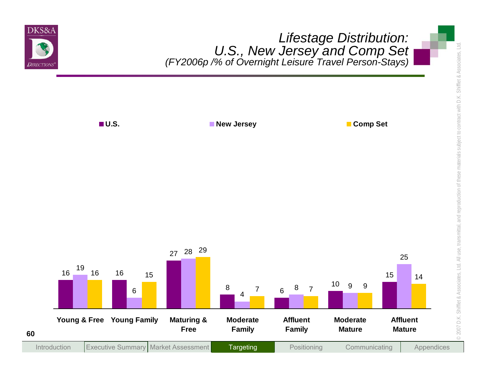

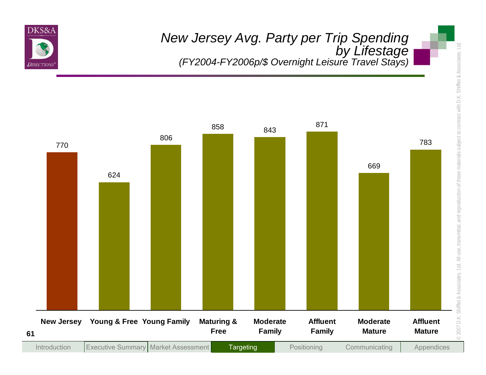

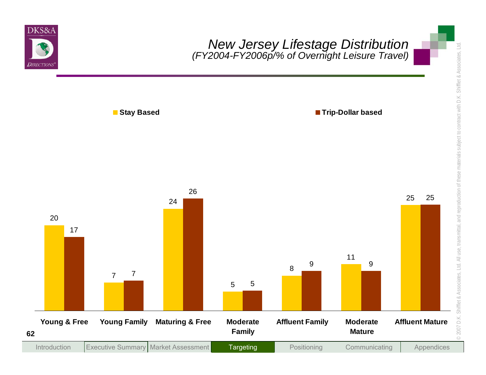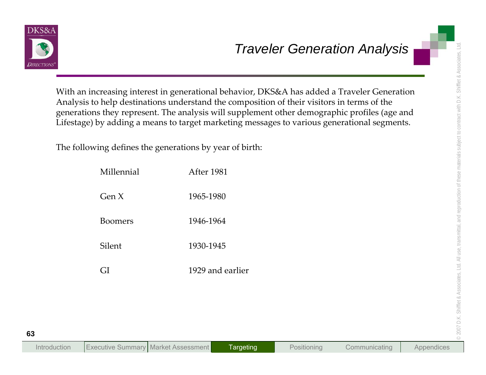

|                                                         | With an increasing interest in generational behavior, DKS&A has added a Traveler Generation<br>Analysis to help destinations understand the composition of their visitors in terms of the<br>generations they represent. The analysis will supplement other demographic profiles (age and<br>Lifestage) by adding a means to target marketing messages to various generational segments. |
|---------------------------------------------------------|------------------------------------------------------------------------------------------------------------------------------------------------------------------------------------------------------------------------------------------------------------------------------------------------------------------------------------------------------------------------------------------|
| The following defines the generations by year of birth: |                                                                                                                                                                                                                                                                                                                                                                                          |
| Millennial                                              | After 1981                                                                                                                                                                                                                                                                                                                                                                               |
| Gen X                                                   | 1965-1980                                                                                                                                                                                                                                                                                                                                                                                |
| <b>Boomers</b>                                          | 1946-1964                                                                                                                                                                                                                                                                                                                                                                                |
| Silent                                                  | 1930-1945                                                                                                                                                                                                                                                                                                                                                                                |
| GI                                                      | 1929 and earlier                                                                                                                                                                                                                                                                                                                                                                         |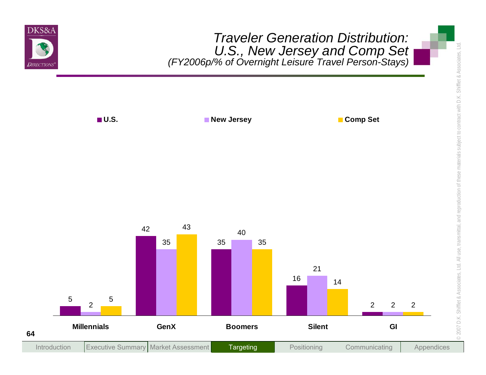

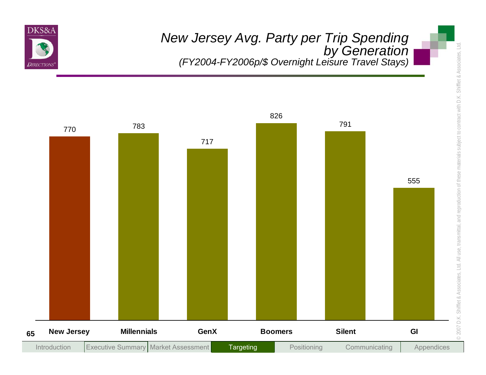

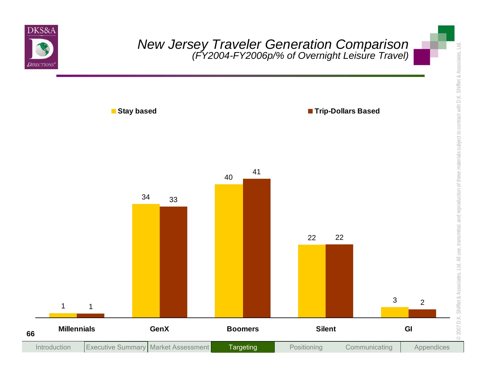

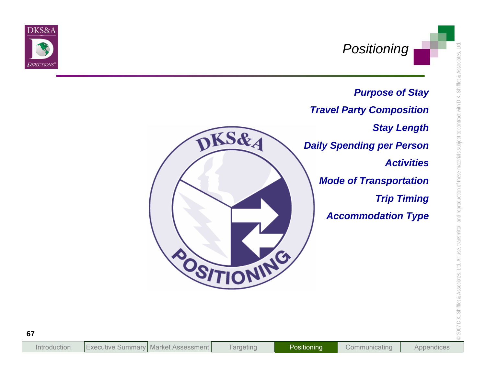



**Targeting**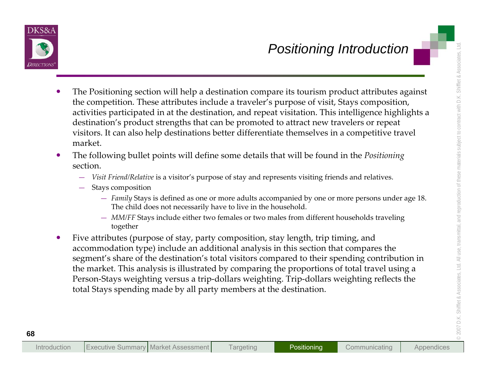

- **Example 10**<br> **Example 10**<br> **Example 10**<br> **Example 10**<br> **Example 10**<br> **Example 10**<br> **Example 10**<br> **Example 10**<br> **Example 10**<br> **Example 10**<br> **Example 10**<br> **Example 10**<br> **Example 10**<br> **Example 10**<br> **Example 10**<br> **Example 10**  $\bullet$  The Positioning section will help <sup>a</sup> destination compare its tourism product attributes against the competition. These attributes include <sup>a</sup> traveler's purpose of visit, Stays composition, activities participated in at the destination, and repea<sup>t</sup> visitation. This intelligence highlights <sup>a</sup> destination's product strengths that can be promoted to attract new travelers or repea<sup>t</sup> visitors. It can also help destinations better differentiate themselves in <sup>a</sup> competitive travel market.
	- $\bullet$  The following bullet points will define some details that will be found in the *Positioning* section.
		- *Visit Friend/Relative* is <sup>a</sup> visitor's purpose of stay and represents visiting friends and relatives.
		- Stays composition
			- *Family* Stays is defined as one or more adults accompanied by one or more persons under age 18. The child does not necessarily have to live in the household.
			- *MM/FF* Stays include either two females or two males from different households traveling together
	- $\bullet$  Five attributes (purpose of stay, party composition, stay length, trip timing, and accommodation type) include an additional analysis in this section that compares the segment's share of the destination's total visitors compared to their spending contribution in the market. This analysis is illustrated by comparing the proportions of total travel using <sup>a</sup> Person‐Stays weighting versus <sup>a</sup> trip‐dollars weighting. Trip‐dollars weighting reflects the total Stays spending made by all party members at the destination.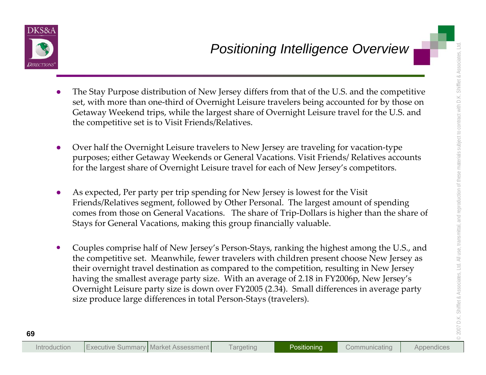

- 
- 
- 
- **Example 10**<br> **Example 10**<br> **Example 10**<br> **Example 10**<br> **Example 10**<br> **Example 10**<br> **Example 10**<br> **Example 10**<br> **Example 10**<br> **Example 10**<br> **Example 11**<br> **Example 10**<br> **Example 11**<br> **Example 11**<br> **Example 11**<br> **Example 11**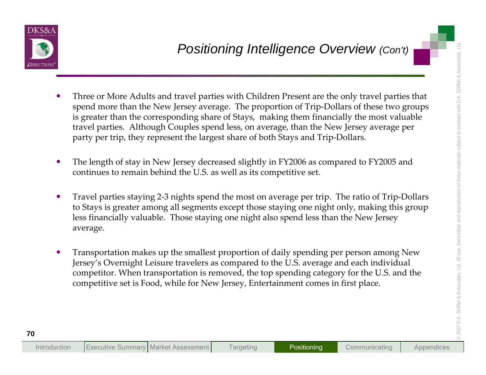

- **Example 10**<br> **Example 10**<br> **Example 10**<br> **Example 10**<br> **Example 10**<br> **Example 10**<br> **Example 10**<br> **Example 10**<br> **Example 10**<br> **Example 10**<br> **Example 10**<br> **Example 10**<br> **Example 10**<br> **Example 10**<br> **Example 10**<br> **Example 10** 
	-
	-
	-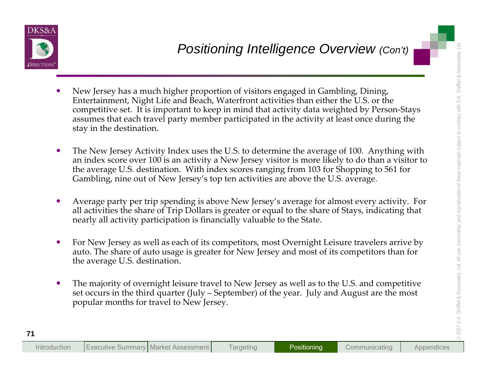

- **Example 18 And the state of the state of the state of the state of the state of the state of the state of the mean that the state of the state of the state of the state of the state of the state of the state of the state** 
	-
	-
	-
	-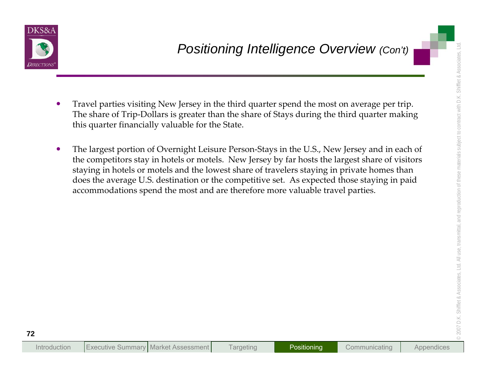

- 
- 
- **Positioning Intelligence Overview (Cont)**<br>
Travel parties visiting New Jersey in the third quarter spand the most on average per trip.<br>
The share of Trip-Dollars is greater than the share of Stays during the third quarter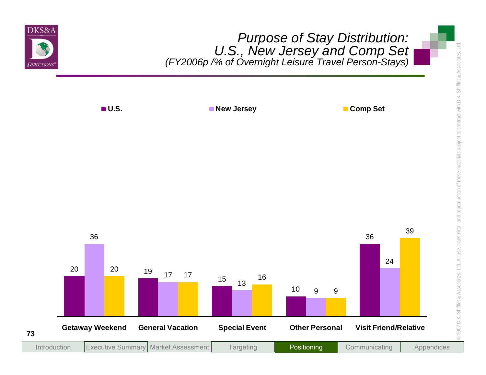

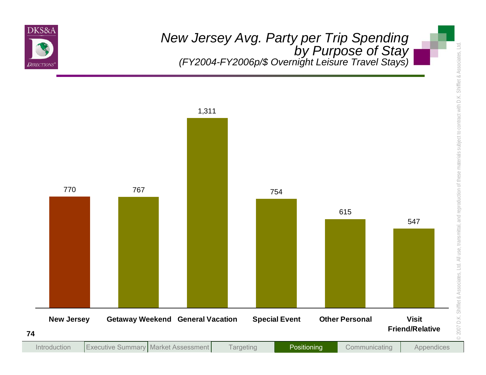

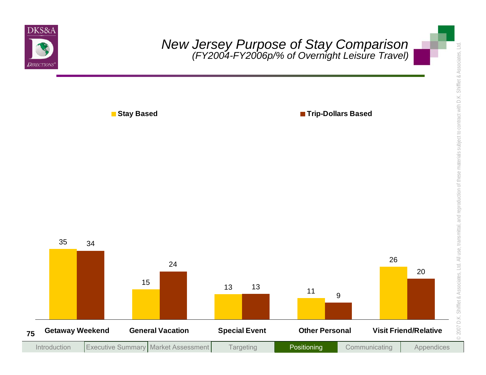

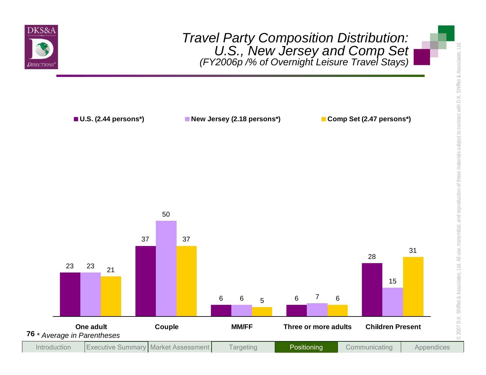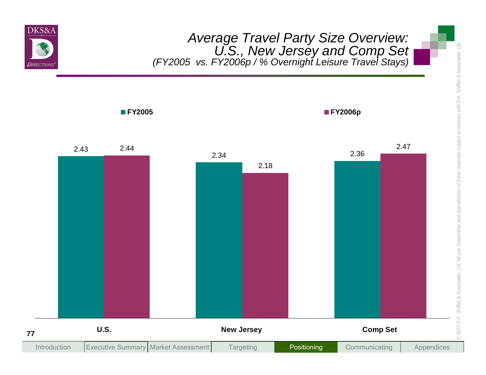

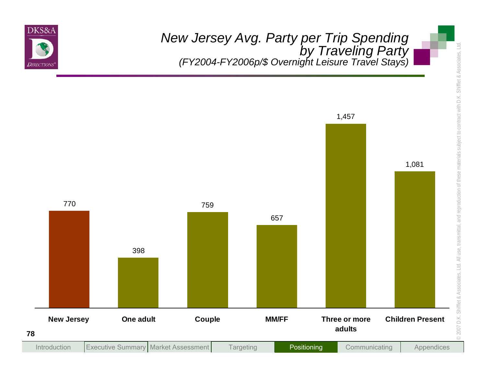

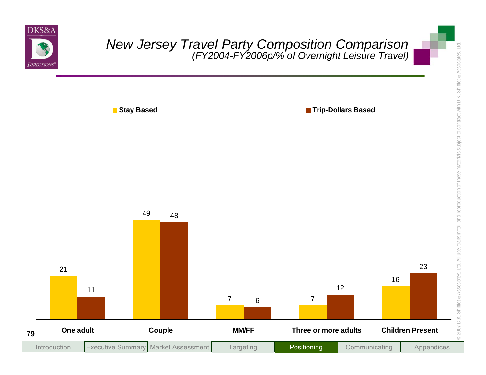

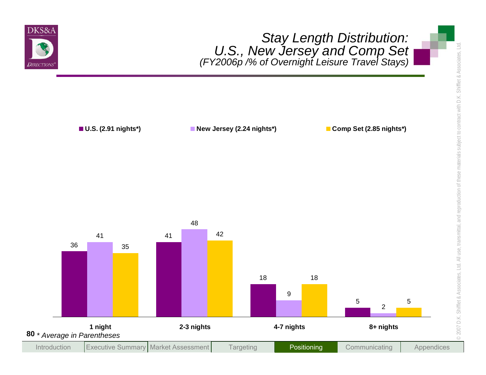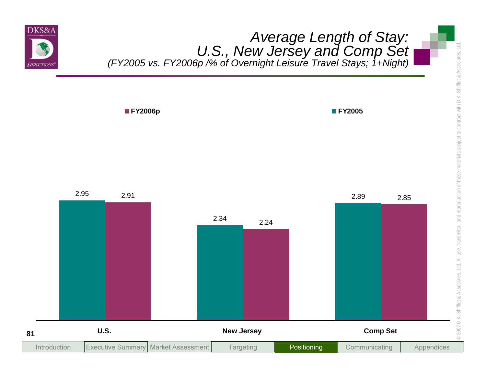

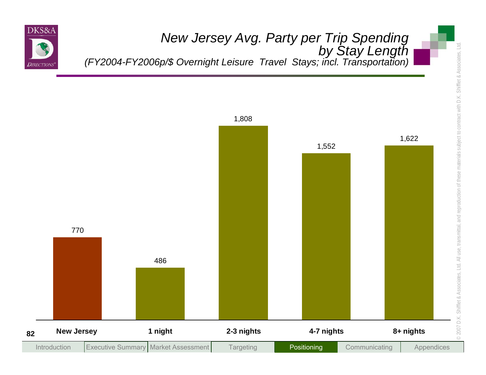

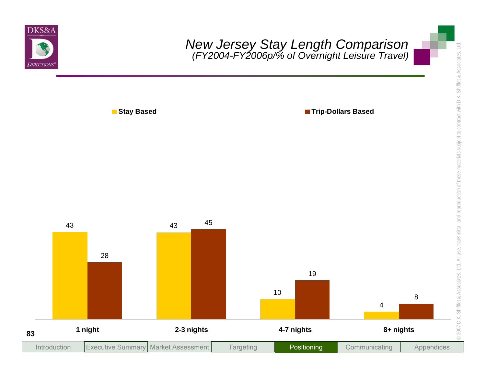

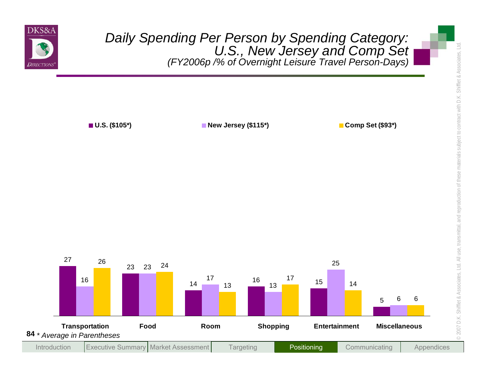

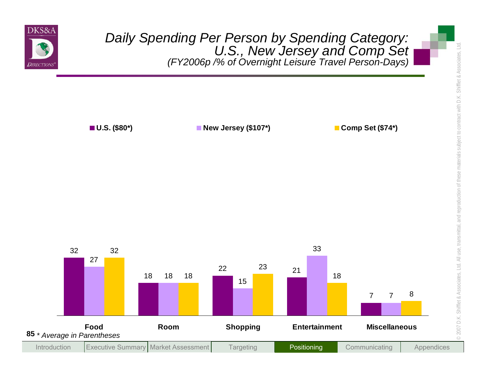

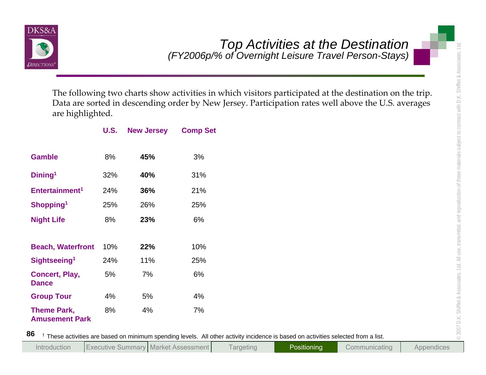

| are highlighted.                            |             | The following two charts show activities in which visitors participated at the destination on the trip. | Data are sorted in descending order by New Jersey. Participation rates well above the U.S. averages |
|---------------------------------------------|-------------|---------------------------------------------------------------------------------------------------------|-----------------------------------------------------------------------------------------------------|
|                                             | <b>U.S.</b> | <b>New Jersey</b>                                                                                       | <b>Comp Set</b>                                                                                     |
| <b>Gamble</b>                               | 8%          | 45%                                                                                                     | 3%                                                                                                  |
| Dining <sup>1</sup>                         | 32%         | 40%                                                                                                     | 31%                                                                                                 |
| Entertainment <sup>1</sup>                  | 24%         | 36%                                                                                                     | 21%                                                                                                 |
| Shopping <sup>1</sup>                       | 25%         | 26%                                                                                                     | 25%                                                                                                 |
| <b>Night Life</b>                           | 8%          | 23%                                                                                                     | 6%                                                                                                  |
| <b>Beach, Waterfront</b>                    | 10%         | 22%                                                                                                     | 10%                                                                                                 |
| Sightseeing <sup>1</sup>                    | 24%         | 11%                                                                                                     | 25%                                                                                                 |
| <b>Concert, Play,</b><br><b>Dance</b>       | 5%          | 7%                                                                                                      | 6%                                                                                                  |
| <b>Group Tour</b>                           | 4%          | 5%                                                                                                      | 4%                                                                                                  |
| <b>Theme Park,</b><br><b>Amusement Park</b> | 8%          | 4%                                                                                                      | 7%                                                                                                  |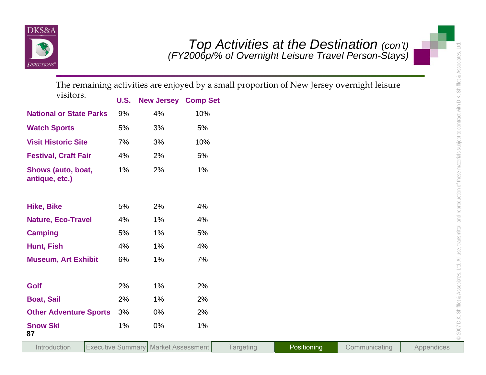

| <b>D</b> IRECTIONS                   |             |                                            |     |                  |             | Top Activities at the Destination (con't)<br>(FY2006p/% of Overnight Leisure Travel Person-Stays) | $\exists$  |
|--------------------------------------|-------------|--------------------------------------------|-----|------------------|-------------|---------------------------------------------------------------------------------------------------|------------|
|                                      |             |                                            |     |                  |             | The remaining activities are enjoyed by a small proportion of New Jersey overnight leisure        |            |
| visitors.                            | <b>U.S.</b> | <b>New Jersey Comp Set</b>                 |     |                  |             |                                                                                                   |            |
| <b>National or State Parks</b>       | 9%          | 4%                                         | 10% |                  |             |                                                                                                   |            |
| <b>Watch Sports</b>                  | 5%          | 3%                                         | 5%  |                  |             |                                                                                                   |            |
| <b>Visit Historic Site</b>           | 7%          | 3%                                         | 10% |                  |             |                                                                                                   |            |
| <b>Festival, Craft Fair</b>          | 4%          | 2%                                         | 5%  |                  |             |                                                                                                   |            |
| Shows (auto, boat,<br>antique, etc.) | 1%          | 2%                                         | 1%  |                  |             |                                                                                                   |            |
| <b>Hike, Bike</b>                    | 5%          | 2%                                         | 4%  |                  |             |                                                                                                   |            |
| <b>Nature, Eco-Travel</b>            | 4%          | 1%                                         | 4%  |                  |             |                                                                                                   |            |
| <b>Camping</b>                       | 5%          | 1%                                         | 5%  |                  |             |                                                                                                   |            |
| Hunt, Fish                           | 4%          | 1%                                         | 4%  |                  |             |                                                                                                   |            |
| <b>Museum, Art Exhibit</b>           | 6%          | 1%                                         | 7%  |                  |             |                                                                                                   |            |
| Golf                                 | 2%          | 1%                                         | 2%  |                  |             |                                                                                                   |            |
| <b>Boat, Sail</b>                    | 2%          | 1%                                         | 2%  |                  |             |                                                                                                   |            |
| <b>Other Adventure Sports</b>        | 3%          | 0%                                         | 2%  |                  |             |                                                                                                   |            |
| <b>Snow Ski</b><br>87                | 1%          | 0%                                         | 1%  |                  |             |                                                                                                   |            |
| Introduction                         |             | <b>Executive Summary Market Assessment</b> |     | <b>Targeting</b> | Positioning | Communicating                                                                                     | Appendices |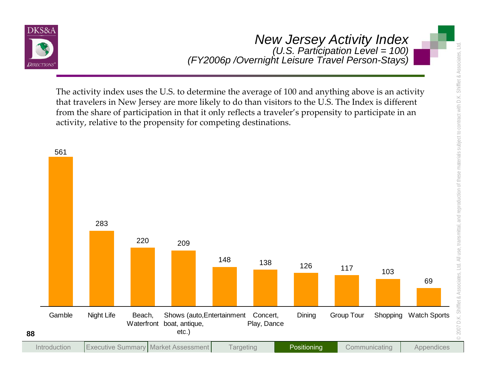

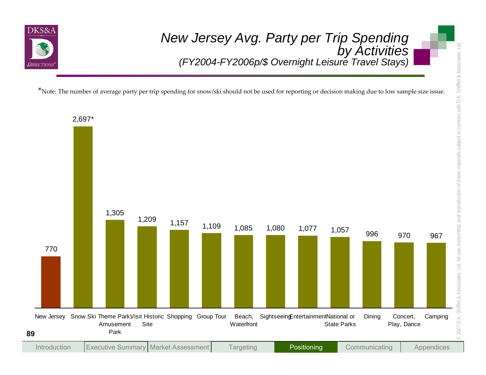

 $^*$ Note: The number of average party per trip spending for snow/ski should not be used for reporting or decision making due to low sample size issue.

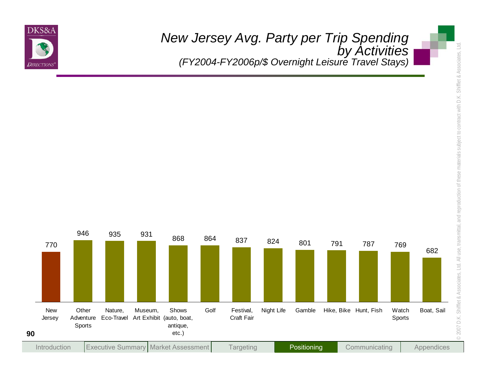

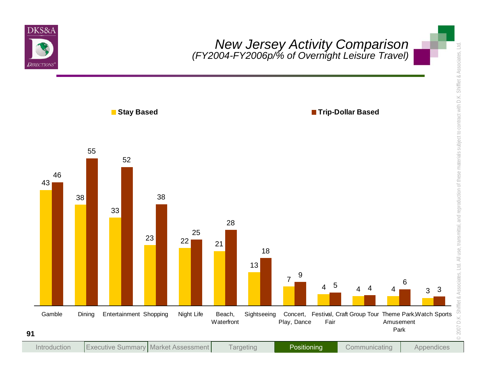

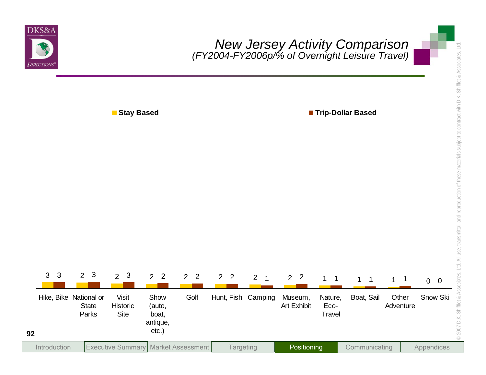

**Stay Based Trip-Dollar Based**

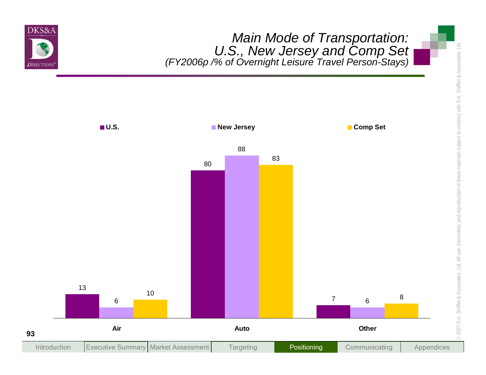

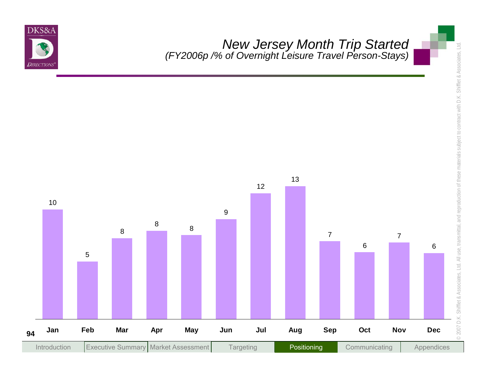

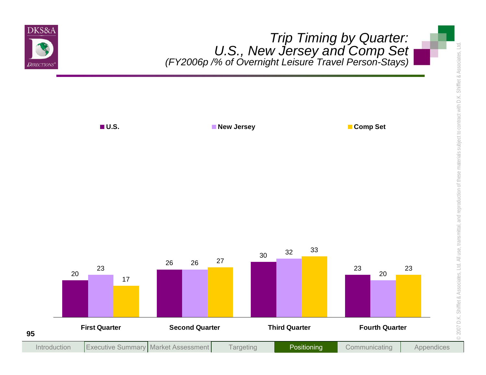

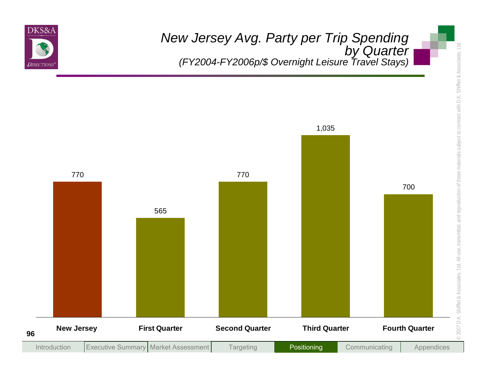

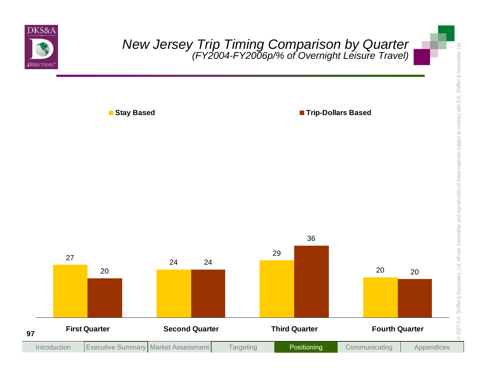

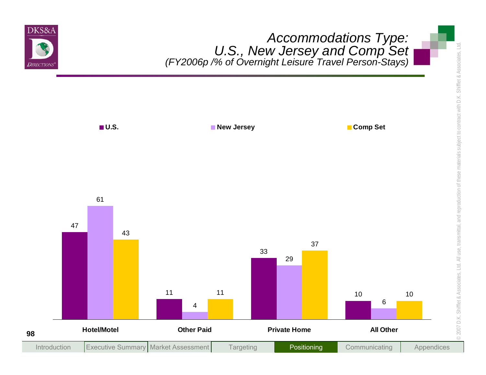

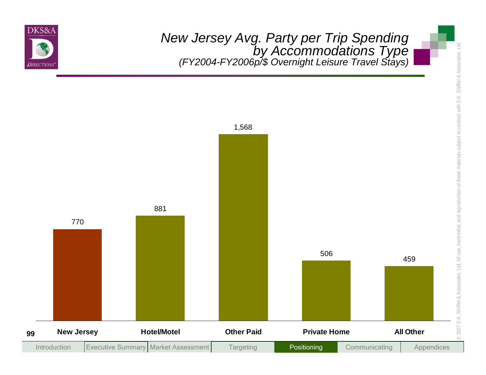

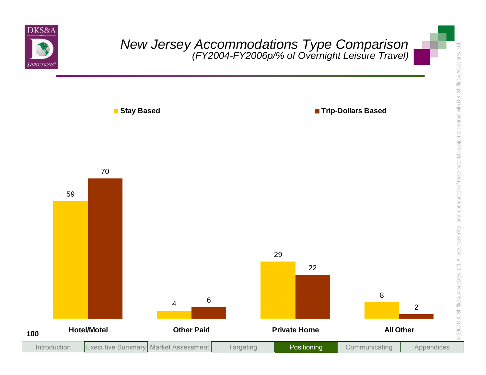

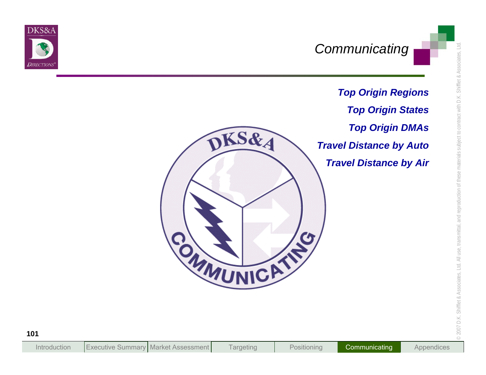

*Top Origin Regions Top Origin States Top Origin DMAs Travel Distance by Auto Travel Distance by Air*

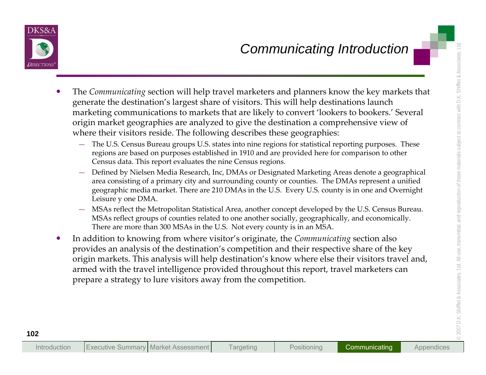- -
	-
	-
- **Example 18 Communicating section will help travel marketers and planners know the key markets that generate the destination's largest show that is light destinations launch. This will help destination for a strained marke**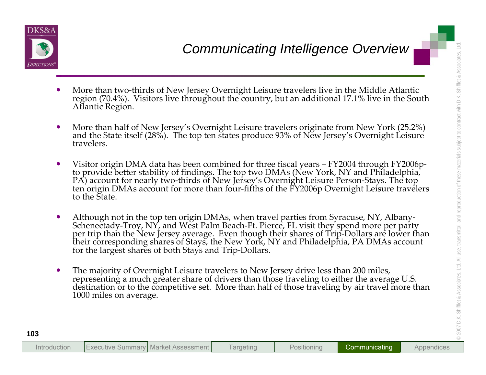

- 
- 
- 
- **Example 12**<br>
More than two-thirds of New Jersey Overnight Leisure travelers live in the Middle Atlantic<br>
region (70.4%). Visitors live throughout the country, but an additional 12.1% live in the South<br>
Alfantic Region.<br>
	-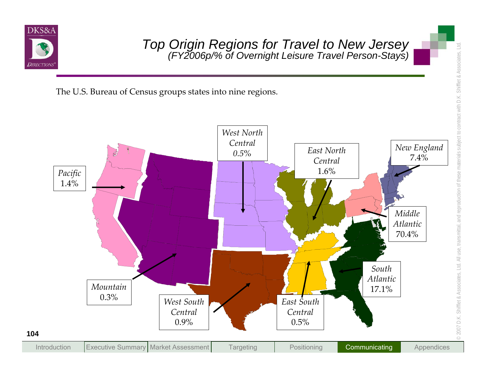

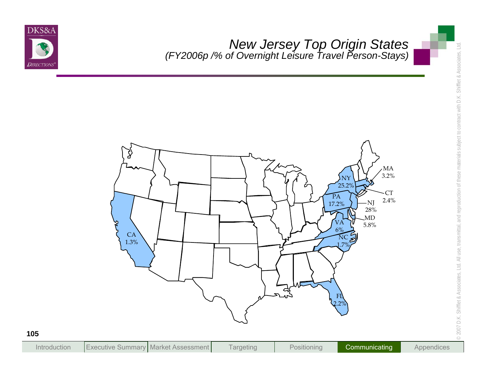

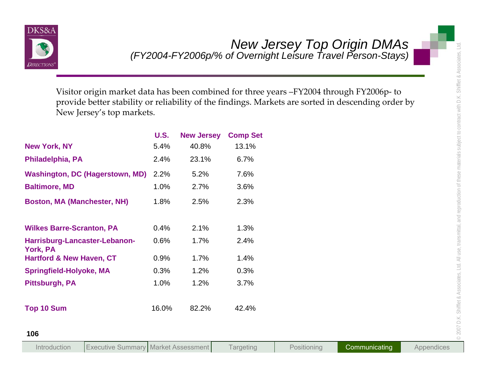

| New Jersey's top markets.                        |             |                   | Visitor origin market data has been combined for three years -FY2004 through FY2006p-to<br>provide better stability or reliability of the findings. Markets are sorted in descending order by |
|--------------------------------------------------|-------------|-------------------|-----------------------------------------------------------------------------------------------------------------------------------------------------------------------------------------------|
|                                                  | <b>U.S.</b> | <b>New Jersey</b> | <b>Comp Set</b>                                                                                                                                                                               |
| <b>New York, NY</b>                              | 5.4%        | 40.8%             | 13.1%                                                                                                                                                                                         |
| Philadelphia, PA                                 | 2.4%        | 23.1%             | 6.7%                                                                                                                                                                                          |
| <b>Washington, DC (Hagerstown, MD)</b>           | 2.2%        | 5.2%              | 7.6%                                                                                                                                                                                          |
| <b>Baltimore, MD</b>                             | 1.0%        | 2.7%              | 3.6%                                                                                                                                                                                          |
| <b>Boston, MA (Manchester, NH)</b>               | 1.8%        | 2.5%              | 2.3%                                                                                                                                                                                          |
| <b>Wilkes Barre-Scranton, PA</b>                 | 0.4%        | 2.1%              | 1.3%                                                                                                                                                                                          |
| Harrisburg-Lancaster-Lebanon-<br><b>York, PA</b> | 0.6%        | 1.7%              | 2.4%                                                                                                                                                                                          |
| <b>Hartford &amp; New Haven, CT</b>              | 0.9%        | 1.7%              | 1.4%                                                                                                                                                                                          |
| <b>Springfield-Holyoke, MA</b>                   | 0.3%        | 1.2%              | 0.3%                                                                                                                                                                                          |
| <b>Pittsburgh, PA</b>                            | 1.0%        | 1.2%              | 3.7%                                                                                                                                                                                          |
| <b>Top 10 Sum</b>                                | 16.0%       | 82.2%             | 42.4%                                                                                                                                                                                         |

| Introduction |  | <b>Executive Summary Market Assessment</b> | Targeting | Positioning | Communicating ' | Appendices |
|--------------|--|--------------------------------------------|-----------|-------------|-----------------|------------|
|--------------|--|--------------------------------------------|-----------|-------------|-----------------|------------|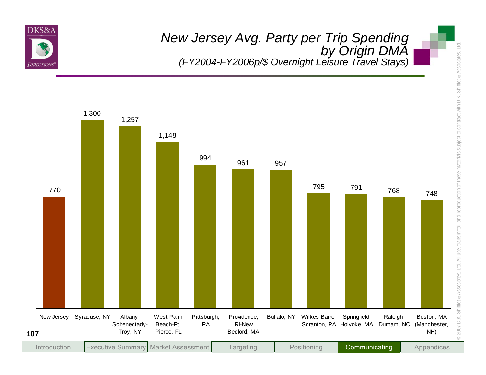

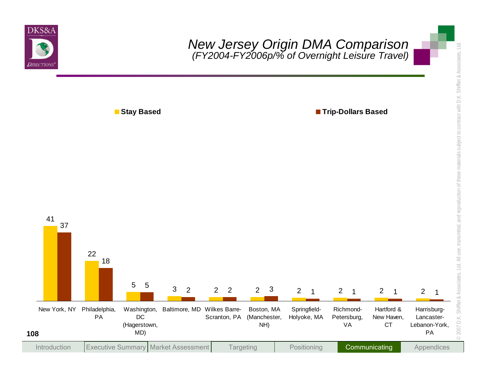

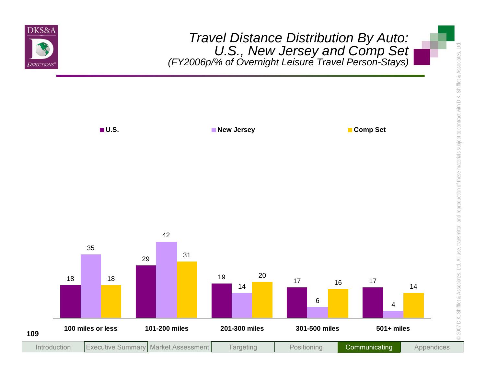

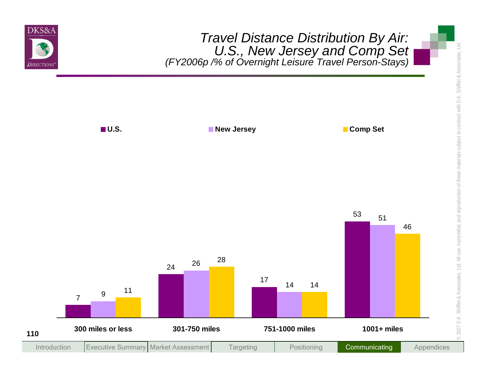

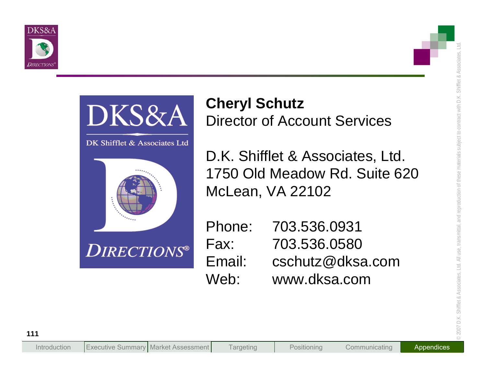



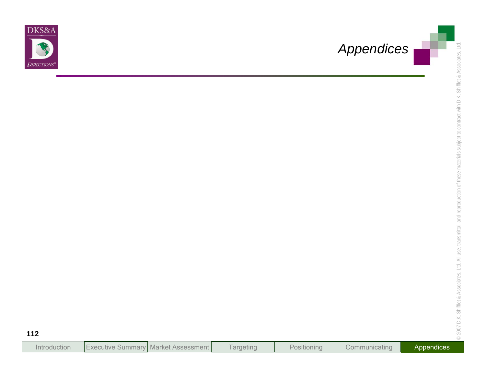

| Introduction | Executive Summary Market Assessment |  | l argeting | Positionina | Communicating | Appendices |
|--------------|-------------------------------------|--|------------|-------------|---------------|------------|
|--------------|-------------------------------------|--|------------|-------------|---------------|------------|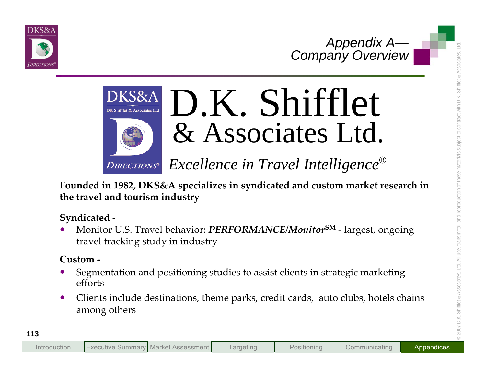





- 
-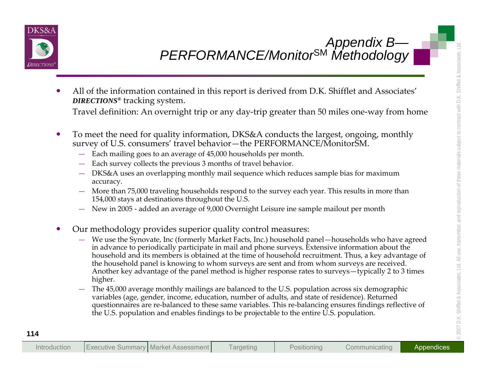

- -
	-
	-
	-
	-
- 
- **EXERCORMANCE/Monitor<sup>SM</sup> Methodology<br>
Appendix B<br>
 All of the information contained in this report is derived from D.K. Shiftlet and Associates<br>
 Duecrusos tracking system.<br>
 Travel definition: An overnight trip or an** 
	-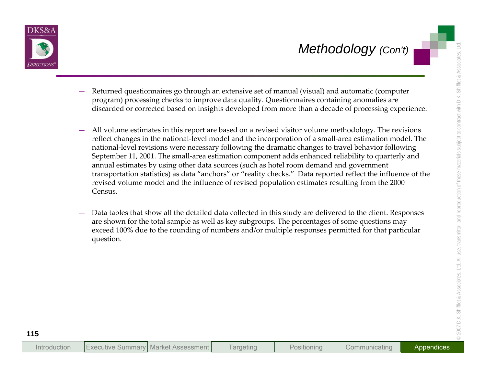

- 
- Methodology (Cont)<br>
Determed questionnaires go through an extensive set of manual (visual) and automatic (computer<br>
program) processing checks to improve data quality, Questionnaires containing anomalage are<br>
discarded or
	-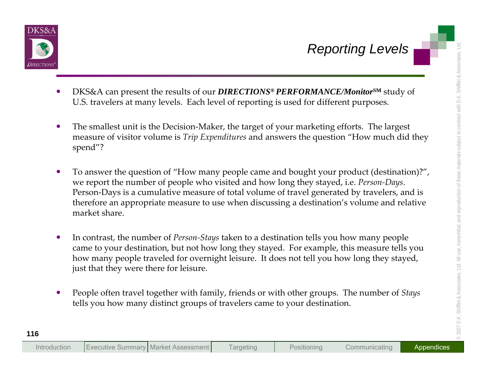

- 
- 
- **Example 18 and 18 and 18 and 18 and 18 and 18 and 18 and 18 and 18 and 18 and 18 and 18 and 18 and 18 and 18 and 18 and 18 and 18 and 18 and 18 and 18 and 18 and 18 and 18 and 18 and 18 and 18 and 18 and 18 and 18 and 18** 
	-
	-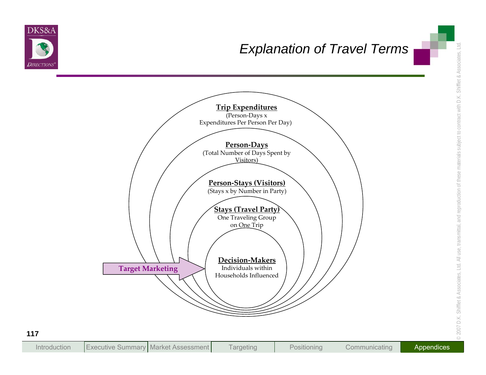

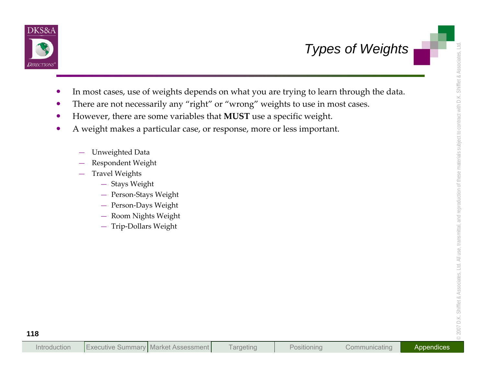

- Types of Weights<br>
In most cases, use of weights depends on what you are trying to learn through the data.<br>
There are not necessarily any "right" or "wrong" weights to use in most cases.<br>
 However, there are some variables
	-
	-
	- -
		-
		- -
			-
			-
			-
			-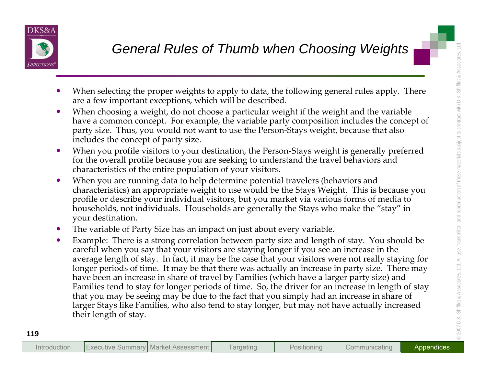

- 
- 
- 
- 
- 
- General Rules of Thumb when Choosing Weights<br>
Weights<br>
When selecting the proper weights to apply to data, the following general rules apply. There<br>
are a few important exception, which will be described.<br>
When shocking a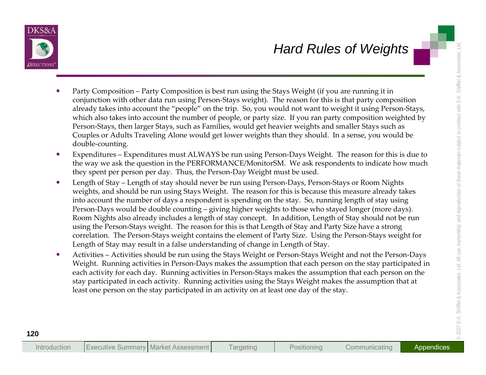- 
- 
- **Hard Rules of Weights**<br>
Transform and the state state of the state of the state of the state state and the state of the state of the state of the state of the state of the state of the state of the state of the state of t
	-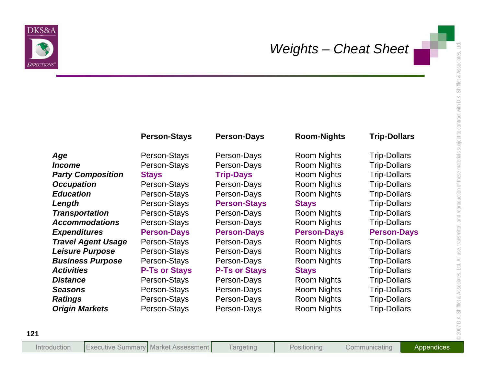

|                           | <b>Person-Stays</b>  | <b>Person-Days</b>   | <b>Room-Nights</b> | <b>Trip-Dollars</b> |
|---------------------------|----------------------|----------------------|--------------------|---------------------|
| Age                       | Person-Stays         | Person-Days          | <b>Room Nights</b> | <b>Trip-Dollars</b> |
| <i><b>Income</b></i>      | Person-Stays         | Person-Days          | <b>Room Nights</b> | <b>Trip-Dollars</b> |
| <b>Party Composition</b>  | <b>Stays</b>         | <b>Trip-Days</b>     | <b>Room Nights</b> | <b>Trip-Dollars</b> |
| <b>Occupation</b>         | Person-Stays         | Person-Days          | <b>Room Nights</b> | <b>Trip-Dollars</b> |
| <b>Education</b>          | Person-Stays         | Person-Days          | <b>Room Nights</b> | <b>Trip-Dollars</b> |
| Length                    | Person-Stays         | <b>Person-Stays</b>  | <b>Stays</b>       | <b>Trip-Dollars</b> |
| <b>Transportation</b>     | Person-Stays         | Person-Days          | <b>Room Nights</b> | <b>Trip-Dollars</b> |
| <b>Accommodations</b>     | Person-Stays         | Person-Days          | <b>Room Nights</b> | <b>Trip-Dollars</b> |
| <b>Expenditures</b>       | <b>Person-Days</b>   | <b>Person-Days</b>   | <b>Person-Days</b> | <b>Person-Days</b>  |
| <b>Travel Agent Usage</b> | Person-Stays         | Person-Days          | <b>Room Nights</b> | <b>Trip-Dollars</b> |
| <b>Leisure Purpose</b>    | Person-Stays         | Person-Days          | <b>Room Nights</b> | <b>Trip-Dollars</b> |
| <b>Business Purpose</b>   | Person-Stays         | Person-Days          | <b>Room Nights</b> | <b>Trip-Dollars</b> |
| <b>Activities</b>         | <b>P-Ts or Stays</b> | <b>P-Ts or Stays</b> | <b>Stays</b>       | <b>Trip-Dollars</b> |
| <b>Distance</b>           | Person-Stays         | Person-Days          | <b>Room Nights</b> | <b>Trip-Dollars</b> |
| <b>Seasons</b>            | Person-Stays         | Person-Days          | <b>Room Nights</b> | <b>Trip-Dollars</b> |
| <b>Ratings</b>            | Person-Stays         | Person-Days          | <b>Room Nights</b> | <b>Trip-Dollars</b> |
| <b>Origin Markets</b>     | Person-Stays         | Person-Days          | <b>Room Nights</b> | <b>Trip-Dollars</b> |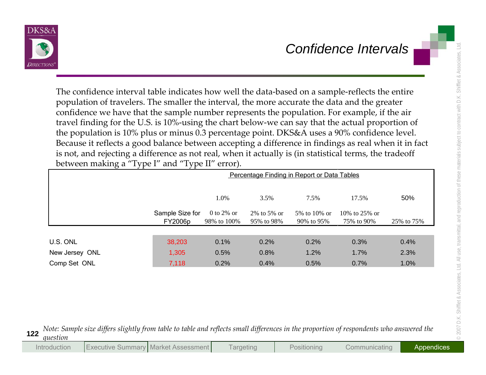

| population of travelers. The smaller the interval, the more accurate the data and the greater<br>confidence we have that the sample number represents the population. For example, if the air<br>travel finding for the U.S. is 10%-using the chart below-we can say that the actual proportion of<br>the population is 10% plus or minus 0.3 percentage point. DKS&A uses a 90% confidence level.<br>Because it reflects a good balance between accepting a difference in findings as real when it in fact |                            |                           |                           |                                             | The confidence interval table indicates how well the data-based on a sample-reflects the entire |            |
|-------------------------------------------------------------------------------------------------------------------------------------------------------------------------------------------------------------------------------------------------------------------------------------------------------------------------------------------------------------------------------------------------------------------------------------------------------------------------------------------------------------|----------------------------|---------------------------|---------------------------|---------------------------------------------|-------------------------------------------------------------------------------------------------|------------|
| is not, and rejecting a difference as not real, when it actually is (in statistical terms, the tradeoff<br>between making a "Type I" and "Type II" error).                                                                                                                                                                                                                                                                                                                                                  |                            |                           |                           |                                             |                                                                                                 |            |
|                                                                                                                                                                                                                                                                                                                                                                                                                                                                                                             |                            |                           |                           | Percentage Finding in Report or Data Tables |                                                                                                 |            |
|                                                                                                                                                                                                                                                                                                                                                                                                                                                                                                             |                            | 1.0%                      | 3.5%                      | 7.5%                                        | 17.5%                                                                                           | 50%        |
|                                                                                                                                                                                                                                                                                                                                                                                                                                                                                                             | Sample Size for<br>FY2006p | 0 to 2% or<br>98% to 100% | 2% to 5% or<br>95% to 98% | 5% to 10% or<br>90% to 95%                  | 10% to 25% or<br>75% to 90%                                                                     | 25% to 75% |
| U.S. ONL                                                                                                                                                                                                                                                                                                                                                                                                                                                                                                    | 38,203                     | 0.1%                      | 0.2%                      | 0.2%                                        | 0.3%                                                                                            | 0.4%       |
| New Jersey ONL                                                                                                                                                                                                                                                                                                                                                                                                                                                                                              | 1,305                      | 0.5%                      | 0.8%                      | 1.2%                                        | 1.7%                                                                                            | 2.3%       |
| Comp Set ONL                                                                                                                                                                                                                                                                                                                                                                                                                                                                                                | 7,118                      | 0.2%                      | 0.4%                      | 0.5%                                        | 0.7%                                                                                            | 1.0%       |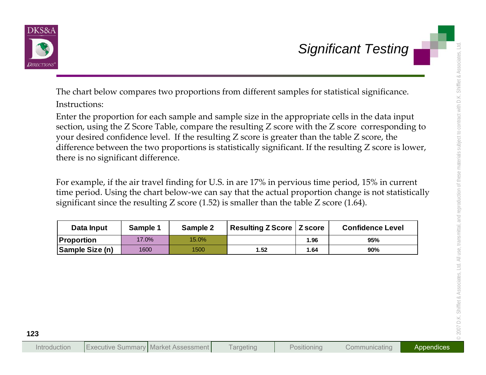

Significant Testing<br>
The chart below compares two proportions from different samples for statistical significance.<br>
Instructions:<br>
Enter the proportion for each sample and sample size in the appropriate cells in the data i

| Data Input        | Sample 1 | Sample 2 | Resulting Z Score   Z score |      | <b>Confidence Level</b> |
|-------------------|----------|----------|-----------------------------|------|-------------------------|
| <b>Proportion</b> | 17.0%    | 15.0%    |                             | 1.96 | 95%                     |
| Sample Size (n)   | 1600     | 1500     | 1.52                        | 1.64 | 90%                     |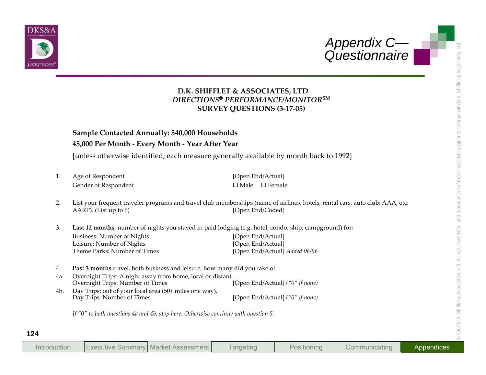



- 
- 
- **Appendix C—<br>
D.K. SIIIFFLET & ASSOCIATES. LTD<br>
DRECONNANCES INTO<br>
DRECONNET SURVEY QUESTIONS (3-17-05)<br>
SURVEY QUESTIONS (3-17-05)<br>
SURVEY QUESTIONS (3-17-05)<br>
SURVEY QUESTIONS (3-17-05)<br>
SURVEY QUESTIONS (3-17-05)<br>
SURVE** 
	-
	-

| Introduction | <b>Executive Summary   Market Assessment</b> |  | l argeting | Positionina | Communicating | Appendices |
|--------------|----------------------------------------------|--|------------|-------------|---------------|------------|
|--------------|----------------------------------------------|--|------------|-------------|---------------|------------|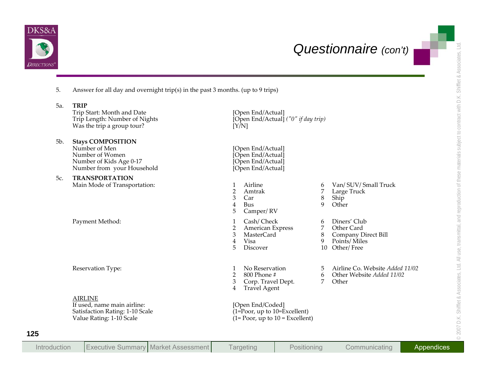



|                                                                                                                              |                                                            |                                                                                           |                                     | Questionnaire (con't)                                                                     |
|------------------------------------------------------------------------------------------------------------------------------|------------------------------------------------------------|-------------------------------------------------------------------------------------------|-------------------------------------|-------------------------------------------------------------------------------------------|
| Answer for all day and overnight trip(s) in the past 3 months. (up to 9 trips)<br>5.                                         |                                                            |                                                                                           |                                     |                                                                                           |
| <b>TRIP</b><br>5a.<br>Trip Start: Month and Date<br>Trip Length: Number of Nights<br>Was the trip a group tour?              | [Y/N]                                                      | [Open End/Actual]<br>[Open End/Actual] ("0" if day trip)                                  |                                     |                                                                                           |
| <b>Stays COMPOSITION</b><br>5b.<br>Number of Men<br>Number of Women<br>Number of Kids Age 0-17<br>Number from your Household |                                                            | [Open End/Actual]<br>[Open End/Actual]<br>[Open End/Actual]<br>[Open End/Actual]          |                                     |                                                                                           |
| <b>TRANSPORTATION</b><br>5с.<br>Main Mode of Transportation:                                                                 | $\mathbf{1}$<br>$\overline{2}$<br>3<br>$\overline{4}$<br>5 | Airline<br>Amtrak<br>Car<br>Bus<br>Camper/RV                                              | 6<br>7<br>8<br>9                    | Van/ SUV/ Small Truck<br>Large Truck<br>Ship<br>Other                                     |
| Payment Method:                                                                                                              | $\mathbf{1}$<br>$\overline{2}$<br>$\mathfrak{Z}$<br>4<br>5 | Cash/Check<br>American Express<br><b>MasterCard</b><br>Visa<br>Discover                   | 6<br>$\overline{7}$<br>$\,8\,$<br>9 | Diners' Club<br>Other Card<br><b>Company Direct Bill</b><br>Points/Miles<br>10 Other/Free |
| Reservation Type:                                                                                                            | $\mathbf{1}$<br>$\overline{2}$<br>3<br>$\overline{4}$      | No Reservation<br>800 Phone #<br>Corp. Travel Dept.<br>Travel Agent                       | 5<br>6<br>7                         | Airline Co. Website Added 11/02<br>Other Website Added 11/02<br>Other                     |
| <b>AIRLINE</b><br>If used, name main airline:<br>Satisfaction Rating: 1-10 Scale<br>Value Rating: 1-10 Scale                 |                                                            | [Open End/Coded]<br>$(1=Proof, up to 10=Excellent)$<br>$(1 = Poor, up to 10 = Excellent)$ |                                     |                                                                                           |
|                                                                                                                              |                                                            |                                                                                           |                                     |                                                                                           |

| Introduction | <b>Executive Summary Market Assessment</b> |  | l argeting | Positioning | Communicating | Appendices |
|--------------|--------------------------------------------|--|------------|-------------|---------------|------------|
|--------------|--------------------------------------------|--|------------|-------------|---------------|------------|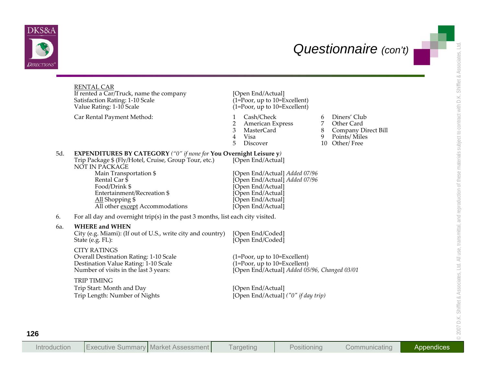



|     | <b>RENTAL CAR</b><br>If rented a Car/Truck, name the company<br>Satisfaction Rating: 1-10 Scale<br>Value Rating: 1-10 Scale                           | [Open End/Actual]<br>$(1=Proof, up to 10=Excellent)$<br>$(1 = Poor, up to 10 = Excellent)$                                                                                                                        |
|-----|-------------------------------------------------------------------------------------------------------------------------------------------------------|-------------------------------------------------------------------------------------------------------------------------------------------------------------------------------------------------------------------|
|     | Car Rental Payment Method:                                                                                                                            | Cash/Check<br>Diners' Club<br>1<br>6<br>Other Card<br>2<br><b>American Express</b><br>7<br>3<br><b>MasterCard</b><br>Company Direct Bill<br>8<br>Visa<br>9<br>Points/Miles<br>4<br>5<br>10 Other/Free<br>Discover |
| 5d. | <b>EXPENDITURES BY CATEGORY</b> ("0" if none for You Overnight Leisure y)<br>Trip Package \$ (Fly/Hotel, Cruise, Group Tour, etc.)<br>NÓT IN PĂCKAGE  | [Open End/Actual]                                                                                                                                                                                                 |
|     | Main Transportation \$<br>Rental Car $\bar{\$}$<br>Food/Drink \$<br>Entertainment/Recreation \$<br>All Shopping \$<br>All other except Accommodations | [Open End/Actual] Added 07/96<br>[Open End/Actual] Added 07/96<br>[Open End/Actual]<br>[Open End/Actual]<br>[Open End/Actual]<br>[Open End/Actual]                                                                |
| 6.  | For all day and overnight trip(s) in the past 3 months, list each city visited.                                                                       |                                                                                                                                                                                                                   |
| 6a. | <b>WHERE and WHEN</b><br>City (e.g. Miami): (If out of U.S., write city and country)<br>State (e.g. FL):                                              | [Open End/Coded]<br>[Open End/Coded]                                                                                                                                                                              |
|     | <b>CITY RATINGS</b><br>Overall Destination Rating: 1-10 Scale<br>Destination Value Rating: 1-10 Scale<br>Number of visits in the last 3 years:        | $(1 = Poor, up to 10 = Excellent)$<br>$(1 = Poor, up to 10 = Excellent)$<br>[Open End/Actual] Added 05/96, Changed 03/01                                                                                          |
|     | <b>TRIP TIMING</b><br>Trip Start: Month and Day<br>Trip Length: Number of Nights                                                                      | [Open End/Actual]<br>[Open End/Actual] ("0" if day trip)                                                                                                                                                          |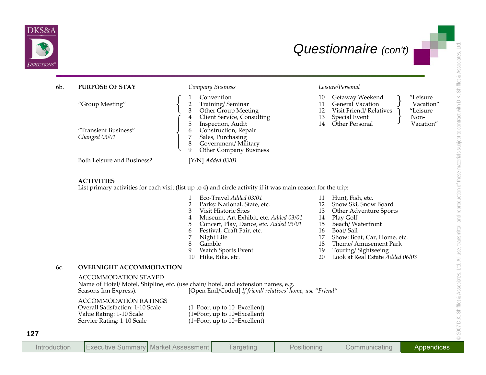

| 6b. | <b>PURPOSE OF STAY</b>                                                                                                     | Company Business                                                                                                                                                                                                                                                                                                                    | Leisure/Personal                                                                                                                                                                                                                                                                               |
|-----|----------------------------------------------------------------------------------------------------------------------------|-------------------------------------------------------------------------------------------------------------------------------------------------------------------------------------------------------------------------------------------------------------------------------------------------------------------------------------|------------------------------------------------------------------------------------------------------------------------------------------------------------------------------------------------------------------------------------------------------------------------------------------------|
|     | "Group Meeting"                                                                                                            | Convention<br>$\overline{2}$<br>Training/Seminar<br>3<br>Other Group Meeting<br>$\overline{4}$<br>Client Service, Consulting                                                                                                                                                                                                        | Getaway Weekend<br>"Leisure<br>10<br>11<br><b>General Vacation</b><br>Vacation"<br>Visit Friend/Relatives<br>12<br>"Leisure<br>13<br><b>Special Event</b><br>Non-                                                                                                                              |
|     | "Transient Business"<br>Changed 03/01                                                                                      | Inspection, Audit<br>5<br>Construction, Repair<br>6<br>7<br>Sales, Purchasing<br>8<br>Government/Military<br>9<br>Other Company Business                                                                                                                                                                                            | Other Personal<br>Vacation"<br>14                                                                                                                                                                                                                                                              |
|     | Both Leisure and Business?                                                                                                 | $[Y/N]$ Added 03/01                                                                                                                                                                                                                                                                                                                 |                                                                                                                                                                                                                                                                                                |
|     | <b>ACTIVITIES</b>                                                                                                          | List primary activities for each visit (list up to 4) and circle activity if it was main reason for the trip:                                                                                                                                                                                                                       |                                                                                                                                                                                                                                                                                                |
|     |                                                                                                                            | Eco-Travel Added 03/01<br>$\overline{2}$<br>Parks: National, State, etc.<br>3<br>Visit Historic Sites<br>Museum, Art Exhibit, etc. Added 03/01<br>4<br>5<br>Concert, Play, Dance, etc. Added 03/01<br>Festival, Craft Fair, etc.<br>6<br>Night Life<br>7<br>8<br>Gamble<br><b>Watch Sports Event</b><br>9<br>10<br>Hike, Bike, etc. | Hunt, Fish, etc.<br>11<br>Snow Ski, Snow Board<br>12<br>13<br>Other Adventure Sports<br>Play Golf<br>14<br>15<br>Beach/Waterfront<br>Boat/Sail<br>16<br>Show: Boat, Car, Home, etc.<br>17<br>18<br>Theme/ Amusement Park<br>Touring/Sightseeing<br>19<br>Look at Real Estate Added 06/03<br>20 |
| 6с. | <b>OVERNIGHT ACCOMMODATION</b>                                                                                             |                                                                                                                                                                                                                                                                                                                                     |                                                                                                                                                                                                                                                                                                |
|     | <b>ACCOMMODATION STAYED</b><br>Seasons Inn Express).                                                                       | Name of Hotel/ Motel, Shipline, etc. (use chain/ hotel, and extension names, e.g.<br>[Open End/Coded] If friend/ relatives' home, use "Friend"                                                                                                                                                                                      |                                                                                                                                                                                                                                                                                                |
|     | <b>ACCOMMODATION RATINGS</b><br>Overall Satisfaction: 1-10 Scale<br>Value Rating: 1-10 Scale<br>Service Rating: 1-10 Scale | $(1 = Poor, up to 10 = Excellent)$<br>$(1 = Poor, up to 10 = Excel lent)$<br>$(1 = Poor, up to 10 = Excel lent)$                                                                                                                                                                                                                    |                                                                                                                                                                                                                                                                                                |

- 
- 

- 
- 
- 
- 
- 
- 
- 
- 
- 
- 
- 
- 
- 
- 
- 
- 
- 
- 
- 
- 

| <b>Executive Summary Market Assessment</b><br>Introduction | Positioning<br><b>Targeting</b> | Communicating | Appendices |
|------------------------------------------------------------|---------------------------------|---------------|------------|
|------------------------------------------------------------|---------------------------------|---------------|------------|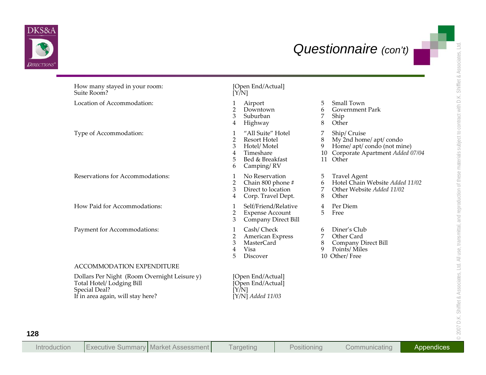

| How many stayed in your room:<br>Suite Room?                                                                                    | [Open End/Actual]<br>$\overline{[Y/N]}$                                                                                                                                  |                                                                                                                                           |
|---------------------------------------------------------------------------------------------------------------------------------|--------------------------------------------------------------------------------------------------------------------------------------------------------------------------|-------------------------------------------------------------------------------------------------------------------------------------------|
| Location of Accommodation:                                                                                                      | Airport<br>$\overline{2}$<br>Downtown<br>3<br>Suburban<br>4<br>Highway                                                                                                   | Small Town<br>5<br><b>Government Park</b><br>6<br>Ship<br>7<br>Other<br>8                                                                 |
| Type of Accommodation:                                                                                                          | "All Suite" Hotel<br>$\mathbf{1}$<br>$\overline{2}$<br><b>Resort Hotel</b><br>3<br>Hotel/Motel<br>Timeshare<br>$\overline{4}$<br>5<br>Bed & Breakfast<br>Camping/RV<br>6 | Ship/Cruise<br>7<br>My 2nd home/ apt/ condo<br>8<br>Home/ apt/ condo (not mine)<br>9<br>Corporate Apartment Added 07/04<br>10<br>11 Other |
| Reservations for Accommodations:                                                                                                | No Reservation<br>$\mathbf{1}$<br>$\overline{2}$<br>Chain 800 phone #<br>3<br>Direct to location<br>Corp. Travel Dept.<br>$\overline{4}$                                 | <b>Travel Agent</b><br>5<br>Hotel Chain Website Added 11/02<br>6<br>Other Website Added 11/02<br>7<br>8<br>Other                          |
| How Paid for Accommodations:                                                                                                    | Self/Friend/Relative<br>1<br>$\overline{2}$<br><b>Expense Account</b><br>3<br>Company Direct Bill                                                                        | Per Diem<br>4<br>5<br>Free                                                                                                                |
| Payment for Accommodations:                                                                                                     | Cash/Check<br>1<br>$\overline{2}$<br>American Express<br>3<br><b>MasterCard</b><br>$\overline{4}$<br>Visa<br>5<br>Discover                                               | Diner's Club<br>6<br>Other Card<br>7<br>Company Direct Bill<br>8<br>Points/Miles<br>9<br>10 Other/Free                                    |
| ACCOMMODATION EXPENDITURE                                                                                                       |                                                                                                                                                                          |                                                                                                                                           |
| Dollars Per Night (Room Overnight Leisure y)<br>Total Hotel/ Lodging Bill<br>Special Deal?<br>If in area again, will stay here? | [Open End/Actual]<br>[Open End/Actual]<br>$\overline{[Y/N]}$<br>$[Y/N]$ Added 11/03                                                                                      |                                                                                                                                           |